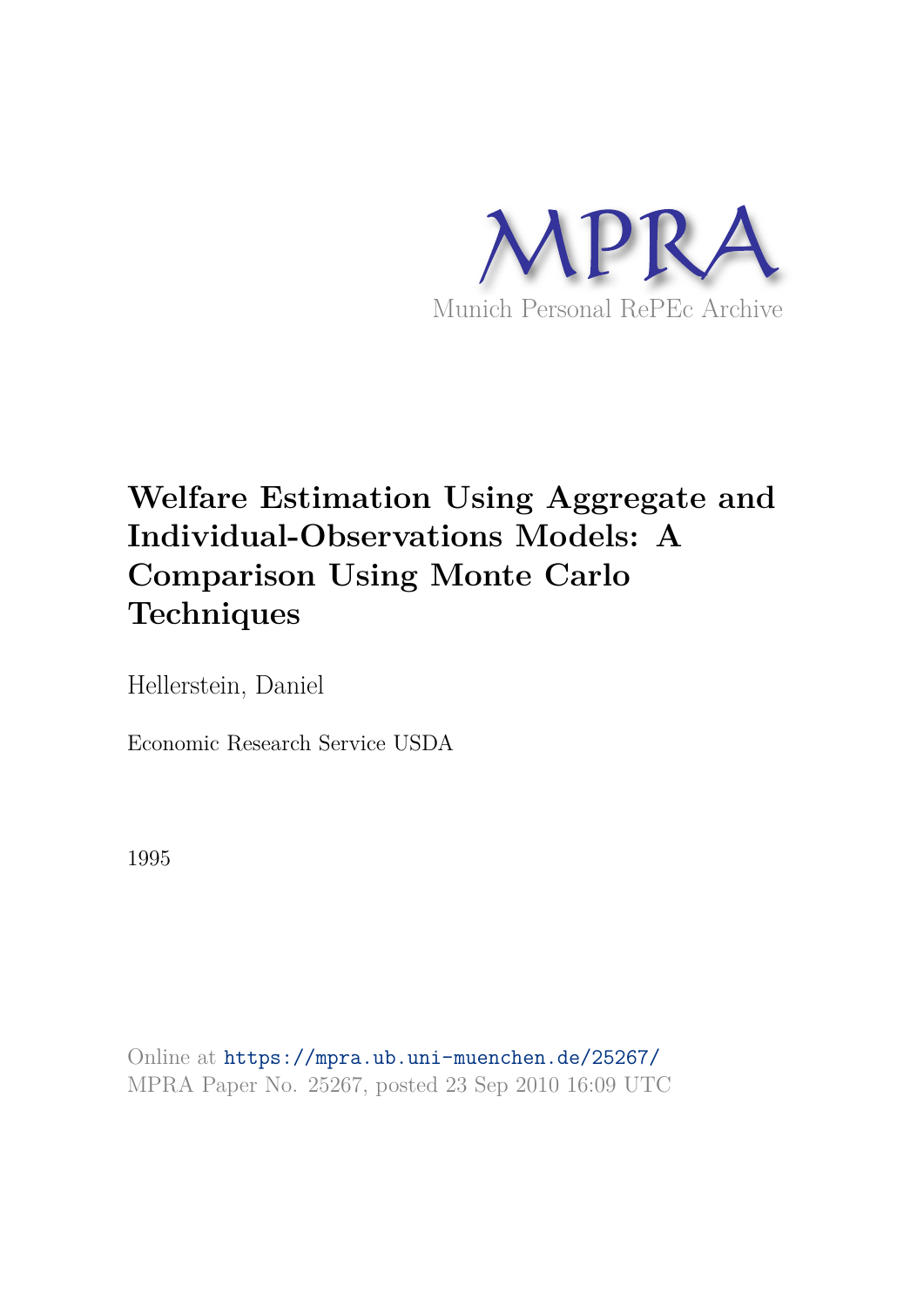

# **Welfare Estimation Using Aggregate and Individual-Observations Models: A Comparison Using Monte Carlo Techniques**

Hellerstein, Daniel

Economic Research Service USDA

1995

Online at https://mpra.ub.uni-muenchen.de/25267/ MPRA Paper No. 25267, posted 23 Sep 2010 16:09 UTC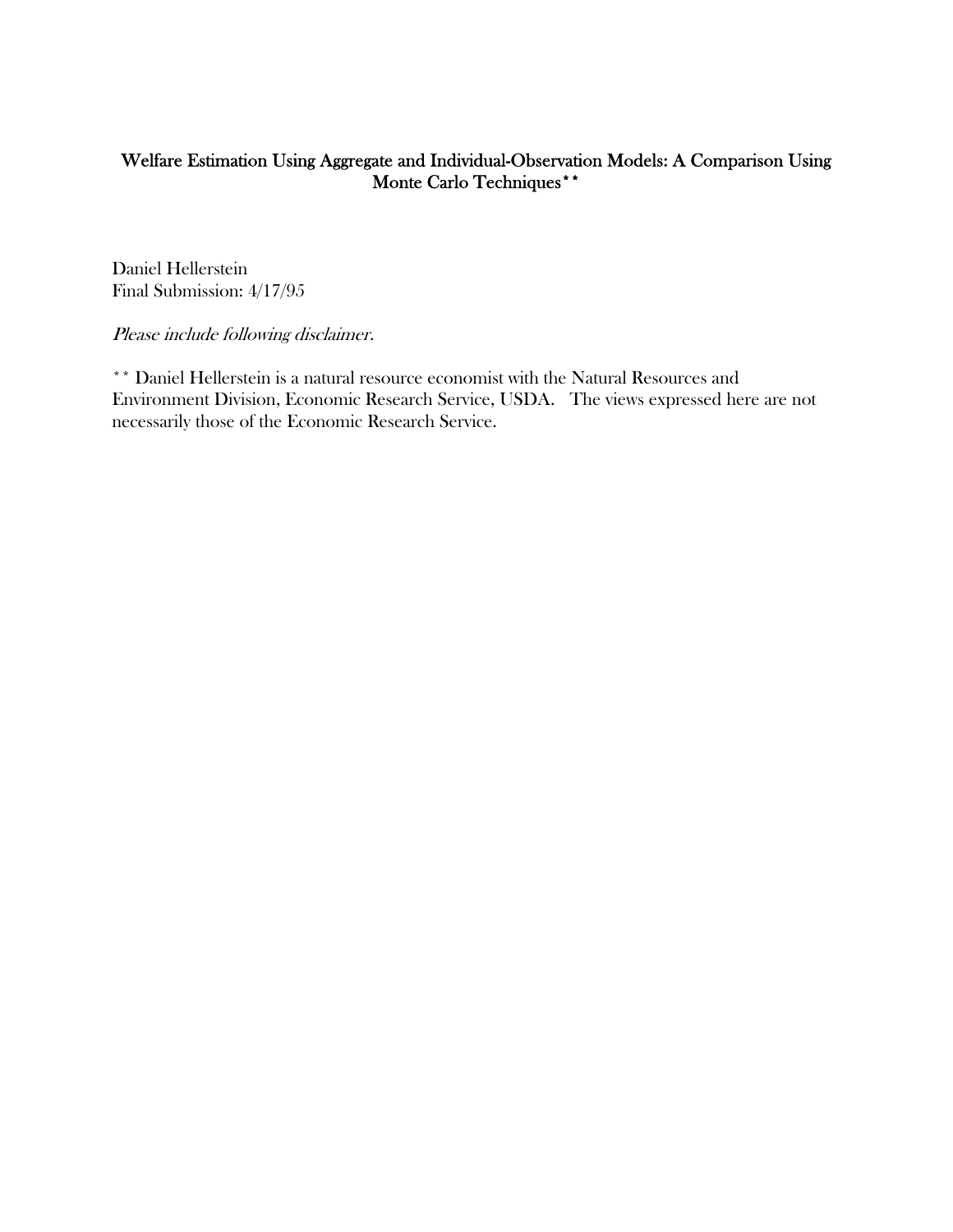# Welfare Estimation Using Aggregate and Individual-Observation Models: A Comparison Using Monte Carlo Techniques\*\*

Daniel Hellerstein Final Submission: 4/17/95

Please include following disclaimer.

\*\* Daniel Hellerstein is a natural resource economist with the Natural Resources and Environment Division, Economic Research Service, USDA. The views expressed here are not necessarily those of the Economic Research Service.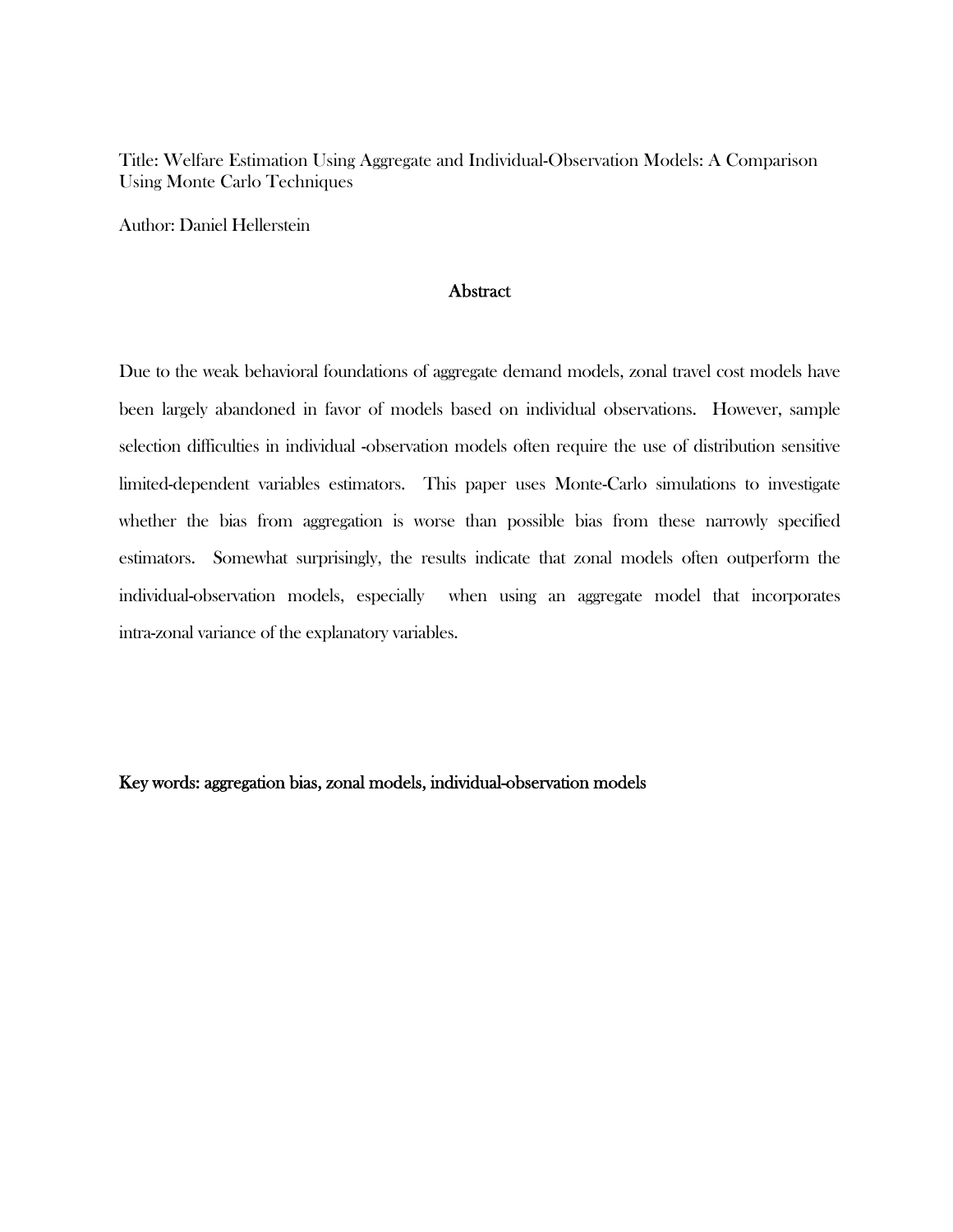Title: Welfare Estimation Using Aggregate and Individual-Observation Models: A Comparison Using Monte Carlo Techniques

Author: Daniel Hellerstein

## **Abstract**

Due to the weak behavioral foundations of aggregate demand models, zonal travel cost models have been largely abandoned in favor of models based on individual observations. However, sample selection difficulties in individual -observation models often require the use of distribution sensitive limited-dependent variables estimators. This paper uses Monte-Carlo simulations to investigate whether the bias from aggregation is worse than possible bias from these narrowly specified estimators. Somewhat surprisingly, the results indicate that zonal models often outperform the individual-observation models, especially when using an aggregate model that incorporates intra-zonal variance of the explanatory variables.

Key words: aggregation bias, zonal models, individual-observation models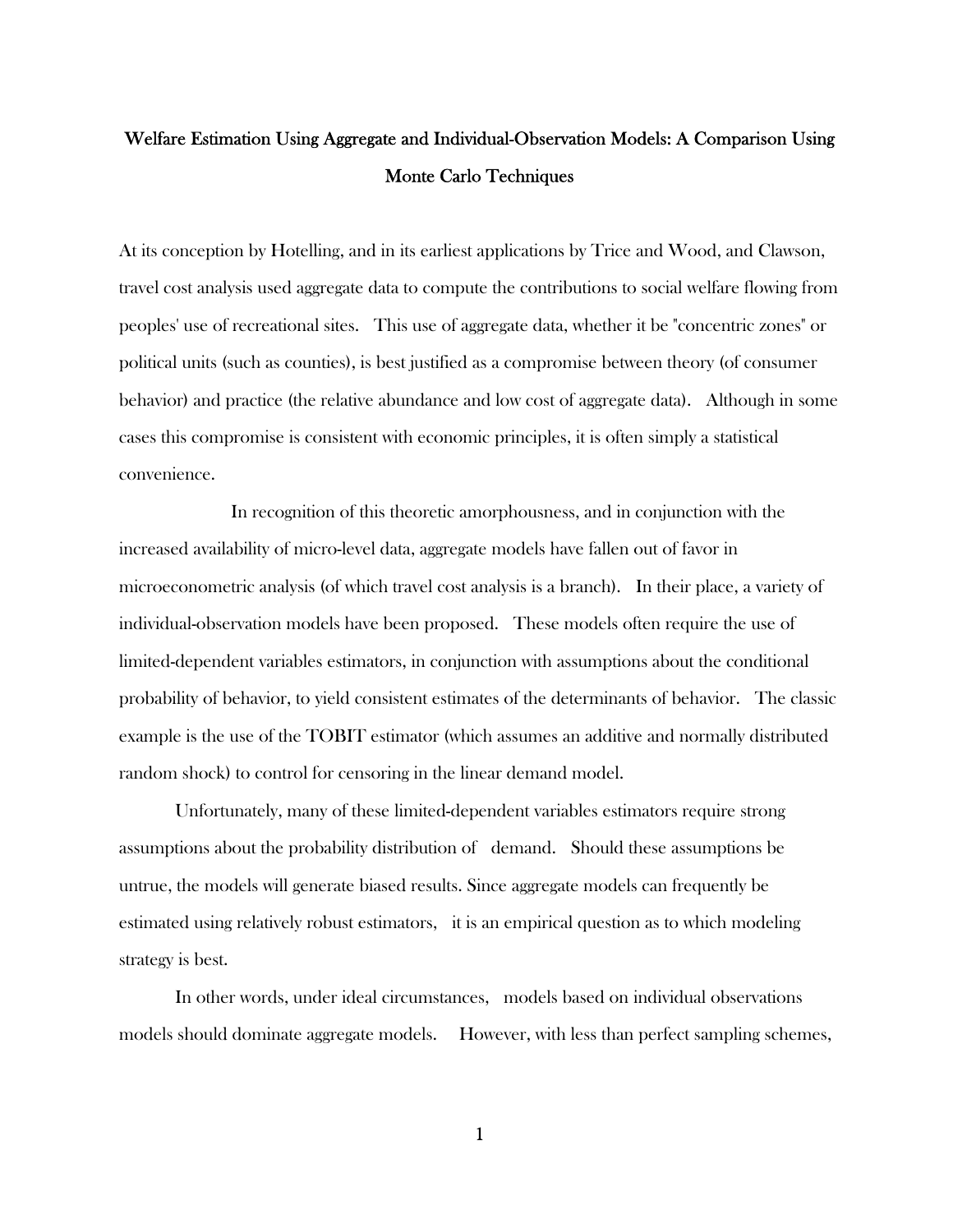# Welfare Estimation Using Aggregate and Individual-Observation Models: A Comparison Using Monte Carlo Techniques

At its conception by Hotelling, and in its earliest applications by Trice and Wood, and Clawson, travel cost analysis used aggregate data to compute the contributions to social welfare flowing from peoples' use of recreational sites. This use of aggregate data, whether it be "concentric zones" or political units (such as counties), is best justified as a compromise between theory (of consumer behavior) and practice (the relative abundance and low cost of aggregate data). Although in some cases this compromise is consistent with economic principles, it is often simply a statistical convenience.

 In recognition of this theoretic amorphousness, and in conjunction with the increased availability of micro-level data, aggregate models have fallen out of favor in microeconometric analysis (of which travel cost analysis is a branch). In their place, a variety of individual-observation models have been proposed. These models often require the use of limited-dependent variables estimators, in conjunction with assumptions about the conditional probability of behavior, to yield consistent estimates of the determinants of behavior. The classic example is the use of the TOBIT estimator (which assumes an additive and normally distributed random shock) to control for censoring in the linear demand model.

 Unfortunately, many of these limited-dependent variables estimators require strong assumptions about the probability distribution of demand. Should these assumptions be untrue, the models will generate biased results. Since aggregate models can frequently be estimated using relatively robust estimators, it is an empirical question as to which modeling strategy is best.

 In other words, under ideal circumstances, models based on individual observations models should dominate aggregate models. However, with less than perfect sampling schemes,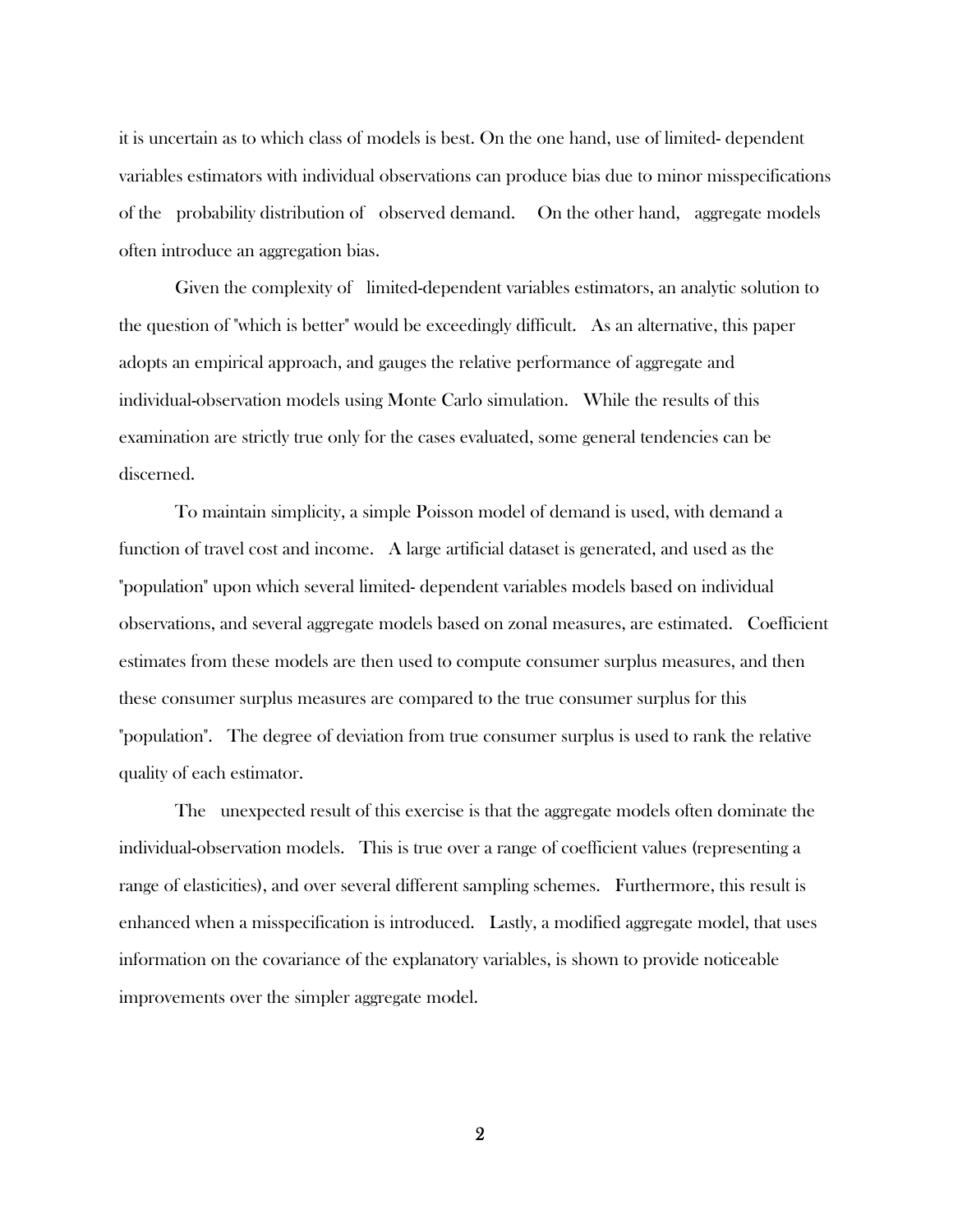it is uncertain as to which class of models is best. On the one hand, use of limited- dependent variables estimators with individual observations can produce bias due to minor misspecifications of the probability distribution of observed demand. On the other hand, aggregate models often introduce an aggregation bias.

 Given the complexity of limited-dependent variables estimators, an analytic solution to the question of "which is better" would be exceedingly difficult. As an alternative, this paper adopts an empirical approach, and gauges the relative performance of aggregate and individual-observation models using Monte Carlo simulation. While the results of this examination are strictly true only for the cases evaluated, some general tendencies can be discerned.

 To maintain simplicity, a simple Poisson model of demand is used, with demand a function of travel cost and income. A large artificial dataset is generated, and used as the "population" upon which several limited- dependent variables models based on individual observations, and several aggregate models based on zonal measures, are estimated. Coefficient estimates from these models are then used to compute consumer surplus measures, and then these consumer surplus measures are compared to the true consumer surplus for this "population". The degree of deviation from true consumer surplus is used to rank the relative quality of each estimator.

 The unexpected result of this exercise is that the aggregate models often dominate the individual-observation models. This is true over a range of coefficient values (representing a range of elasticities), and over several different sampling schemes. Furthermore, this result is enhanced when a misspecification is introduced. Lastly, a modified aggregate model, that uses information on the covariance of the explanatory variables, is shown to provide noticeable improvements over the simpler aggregate model.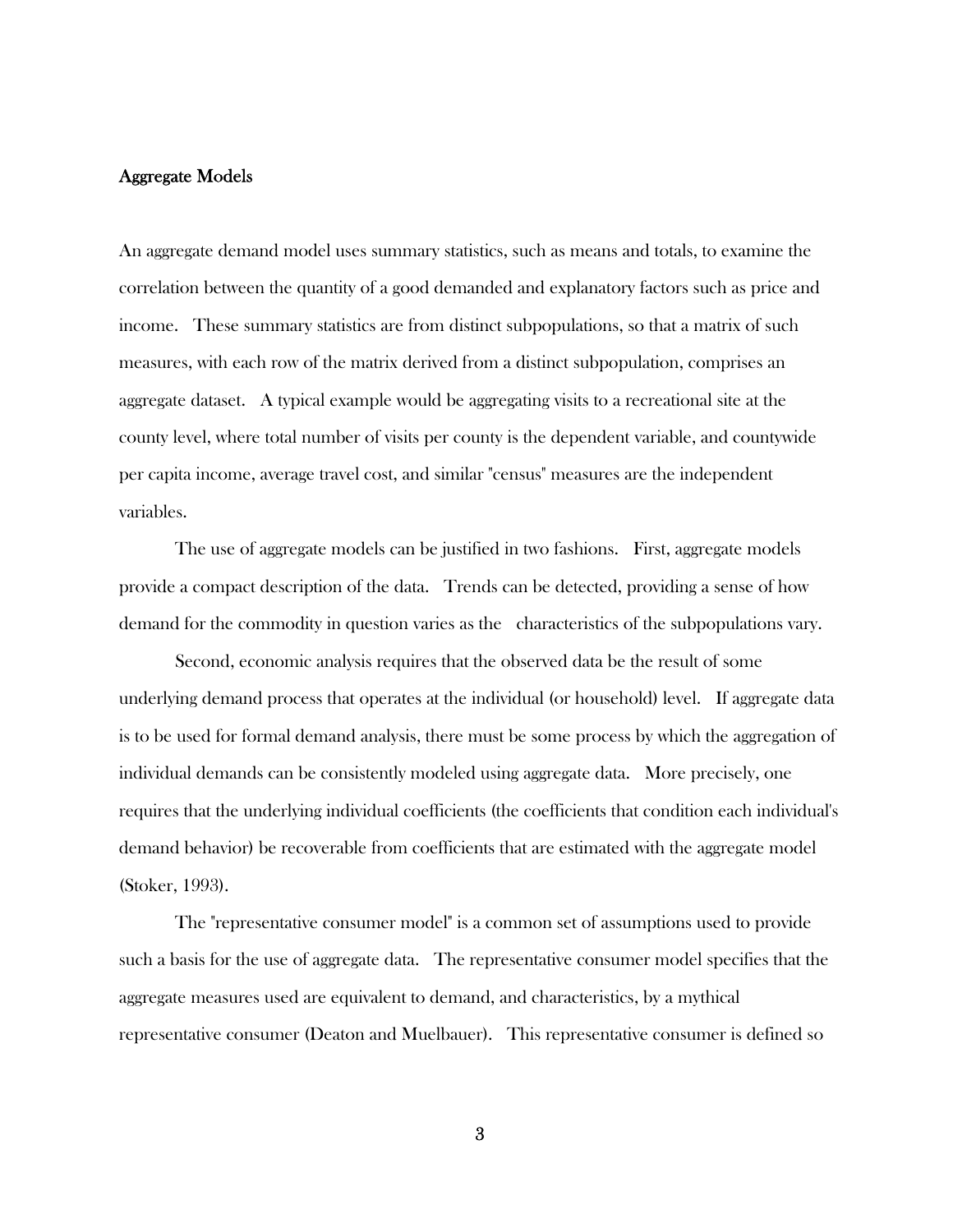# Aggregate Models

An aggregate demand model uses summary statistics, such as means and totals, to examine the correlation between the quantity of a good demanded and explanatory factors such as price and income. These summary statistics are from distinct subpopulations, so that a matrix of such measures, with each row of the matrix derived from a distinct subpopulation, comprises an aggregate dataset. A typical example would be aggregating visits to a recreational site at the county level, where total number of visits per county is the dependent variable, and countywide per capita income, average travel cost, and similar "census" measures are the independent variables.

 The use of aggregate models can be justified in two fashions. First, aggregate models provide a compact description of the data. Trends can be detected, providing a sense of how demand for the commodity in question varies as the characteristics of the subpopulations vary.

 Second, economic analysis requires that the observed data be the result of some underlying demand process that operates at the individual (or household) level. If aggregate data is to be used for formal demand analysis, there must be some process by which the aggregation of individual demands can be consistently modeled using aggregate data. More precisely, one requires that the underlying individual coefficients (the coefficients that condition each individual's demand behavior) be recoverable from coefficients that are estimated with the aggregate model (Stoker, 1993).

 The "representative consumer model" is a common set of assumptions used to provide such a basis for the use of aggregate data. The representative consumer model specifies that the aggregate measures used are equivalent to demand, and characteristics, by a mythical representative consumer (Deaton and Muelbauer). This representative consumer is defined so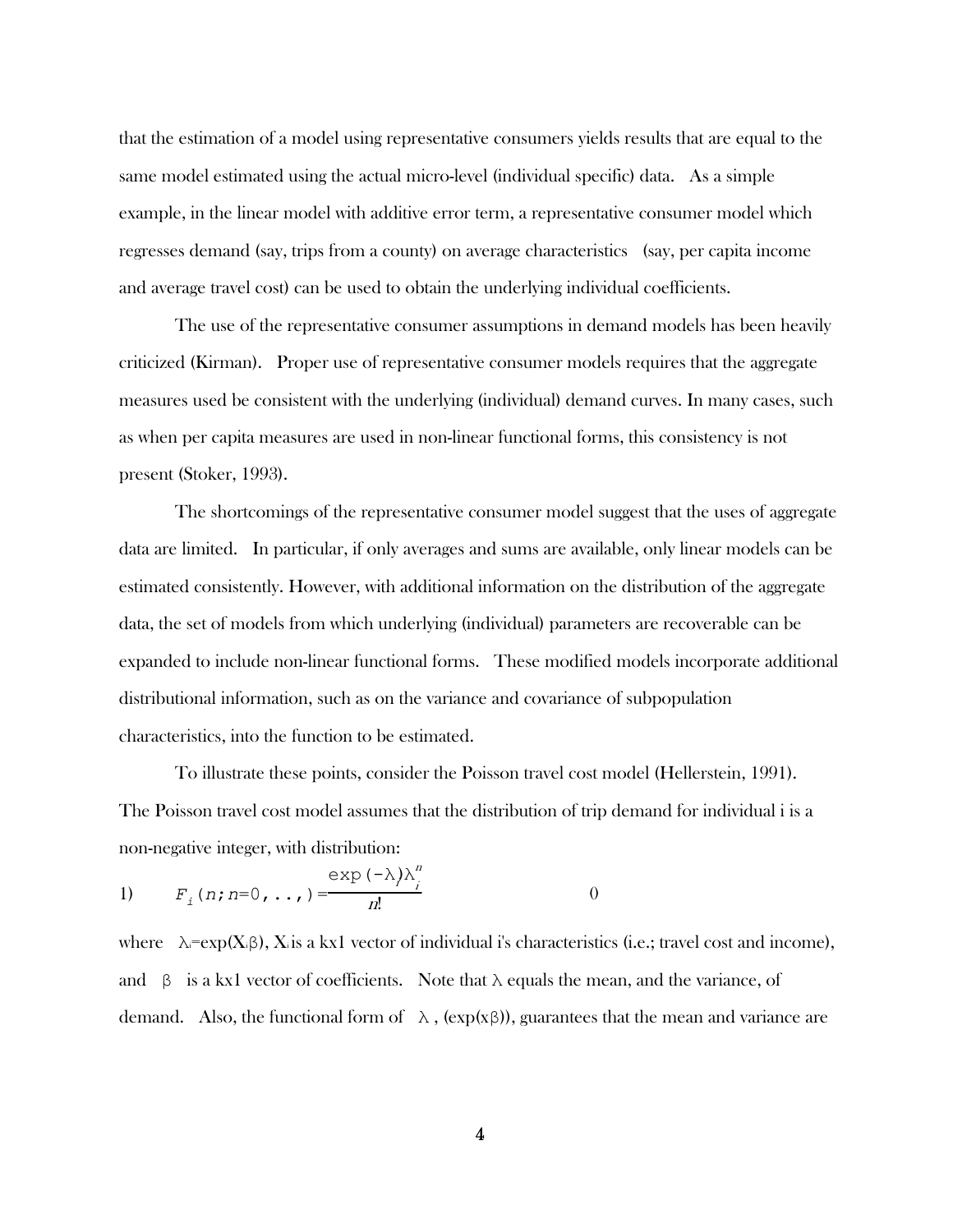that the estimation of a model using representative consumers yields results that are equal to the same model estimated using the actual micro-level (individual specific) data. As a simple example, in the linear model with additive error term, a representative consumer model which regresses demand (say, trips from a county) on average characteristics (say, per capita income and average travel cost) can be used to obtain the underlying individual coefficients.

 The use of the representative consumer assumptions in demand models has been heavily criticized (Kirman). Proper use of representative consumer models requires that the aggregate measures used be consistent with the underlying (individual) demand curves. In many cases, such as when per capita measures are used in non-linear functional forms, this consistency is not present (Stoker, 1993).

 The shortcomings of the representative consumer model suggest that the uses of aggregate data are limited. In particular, if only averages and sums are available, only linear models can be estimated consistently. However, with additional information on the distribution of the aggregate data, the set of models from which underlying (individual) parameters are recoverable can be expanded to include non-linear functional forms. These modified models incorporate additional distributional information, such as on the variance and covariance of subpopulation characteristics, into the function to be estimated.

 To illustrate these points, consider the Poisson travel cost model (Hellerstein, 1991). The Poisson travel cost model assumes that the distribution of trip demand for individual i is a non-negative integer, with distribution:

1) 
$$
F_i(n; n=0, \ldots) = \frac{\exp(-\lambda)\lambda_i^n}{n!}
$$
 0

where  $\lambda = \exp(X_i \beta)$ , X<sub>i</sub> is a kx1 vector of individual i's characteristics (i.e.; travel cost and income), and  $\beta$  is a kx1 vector of coefficients. Note that  $\lambda$  equals the mean, and the variance, of demand. Also, the functional form of  $\lambda$ , (exp(xβ)), guarantees that the mean and variance are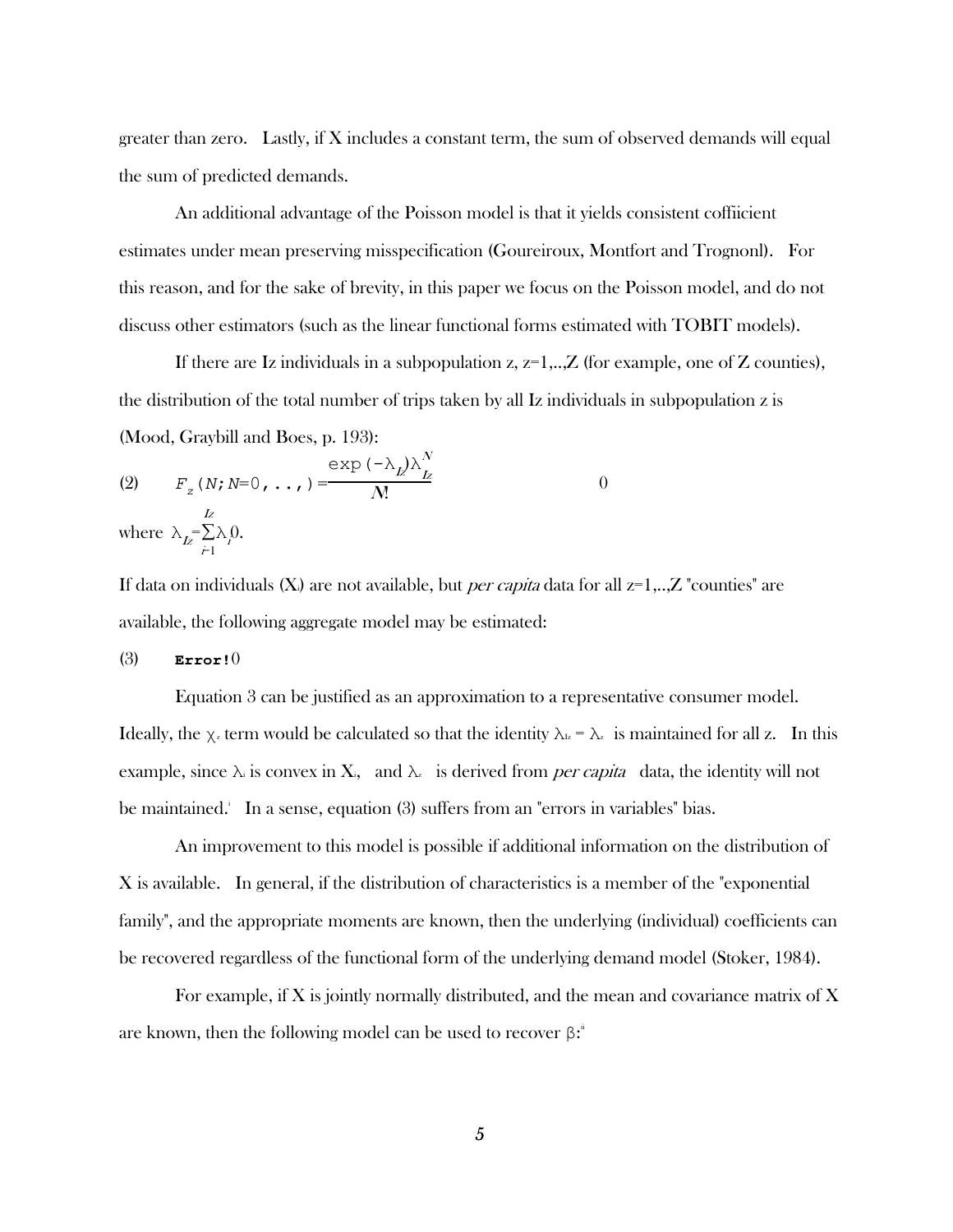greater than zero. Lastly, if  $X$  includes a constant term, the sum of observed demands will equal the sum of predicted demands.

 An additional advantage of the Poisson model is that it yields consistent coffiicient estimates under mean preserving misspecification (Goureiroux, Montfort and Trognonl). For this reason, and for the sake of brevity, in this paper we focus on the Poisson model, and do not discuss other estimators (such as the linear functional forms estimated with TOBIT models).

If there are Iz individuals in a subpopulation  $z$ ,  $z=1,..,Z$  (for example, one of Z counties), the distribution of the total number of trips taken by all Iz individuals in subpopulation z is (Mood, Graybill and Boes, p. 193):

(2) 
$$
F_z(N; N=0, ..., ) = \frac{\exp(-\lambda_L)\lambda_L^N}{N!}
$$
  
where  $\lambda_L = \sum_{j=1}^L \lambda_j 0$ .

If data on individuals  $(X_i)$  are not available, but *per capita* data for all  $z=1,..,Z$  "counties" are available, the following aggregate model may be estimated:

#### (3) **Error!**0

 Equation 3 can be justified as an approximation to a representative consumer model. Ideally, the  $\chi$ <sub>z</sub> term would be calculated so that the identity  $\lambda$ <sub>*k*</sub> =  $\lambda$ <sub>z</sub> is maintained for all z. In this example, since  $\lambda$  is convex in X<sub>i</sub>, and  $\lambda_z$  is derived from *per capita* data, the identity will not be maintained. In a sense, equation (3) suffers from an "errors in variables" bias.

 An improvement to this model is possible if additional information on the distribution of X is available. In general, if the distribution of characteristics is a member of the "exponential family", and the appropriate moments are known, then the underlying (individual) coefficients can be recovered regardless of the functional form of the underlying demand model (Stoker, 1984).

 For example, if X is jointly normally distributed, and the mean and covariance matrix of X are known, then the following model can be used to recover  $\beta:$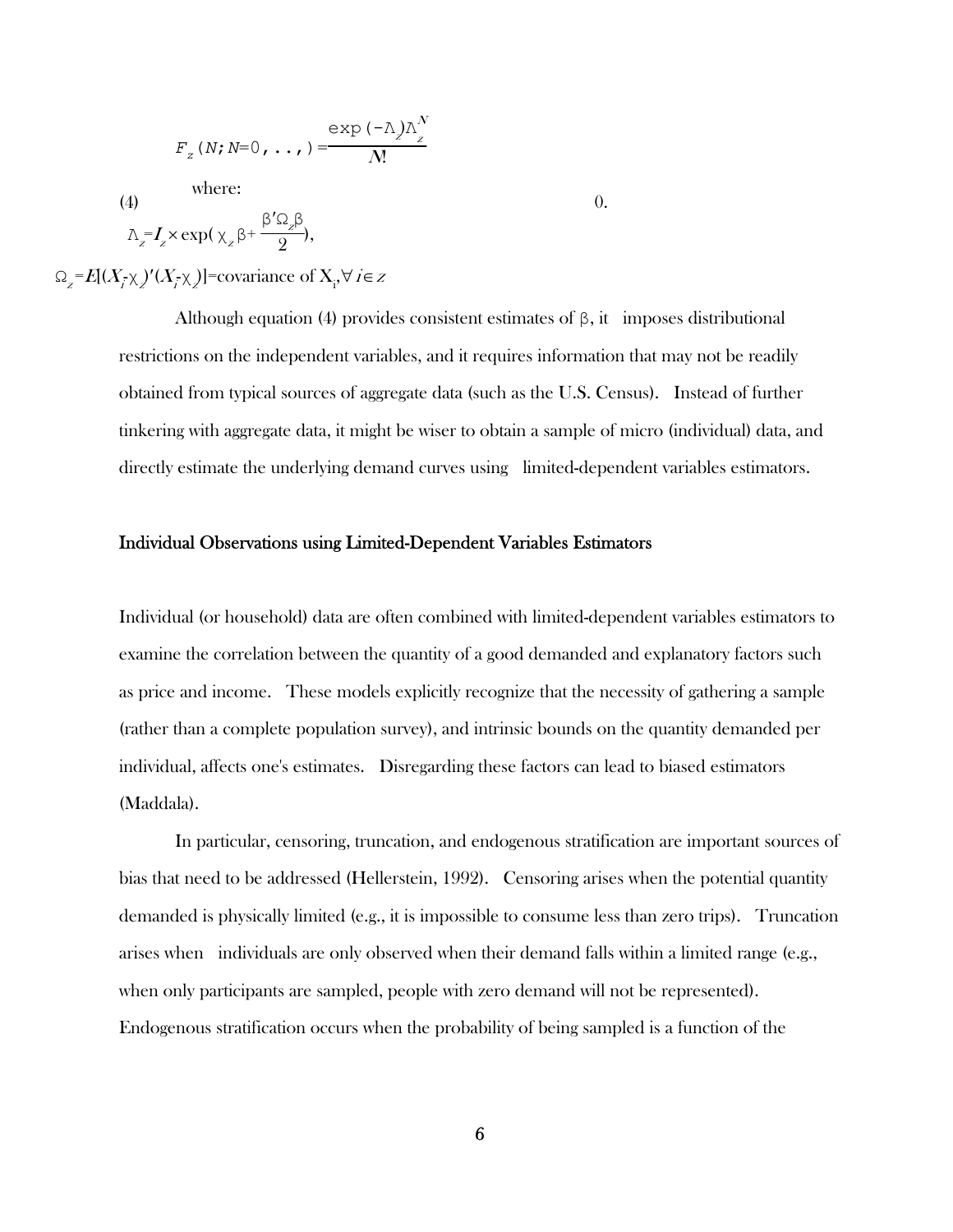$$
F_{z}(N;N=0,\ldots)=\frac{\exp(-\lambda)\lambda_{z}^{N}}{N}
$$

where:

(4)

$$
\Lambda_z = I_z \times \exp(\chi_z \beta + \frac{\beta' \Omega_z \beta}{2}),
$$

 $\Omega_{Z} = E[(X_{\overline{i}} \chi_{z})'(X_{\overline{i}} \chi_{z})]$ =covariance of  $X_{\overline{i}}$ ,  $\forall i \in Z$ 

Although equation (4) provides consistent estimates of  $\beta$ , it imposes distributional restrictions on the independent variables, and it requires information that may not be readily obtained from typical sources of aggregate data (such as the U.S. Census). Instead of further tinkering with aggregate data, it might be wiser to obtain a sample of micro (individual) data, and directly estimate the underlying demand curves using limited-dependent variables estimators.

0.

#### Individual Observations using Limited-Dependent Variables Estimators

Individual (or household) data are often combined with limited-dependent variables estimators to examine the correlation between the quantity of a good demanded and explanatory factors such as price and income. These models explicitly recognize that the necessity of gathering a sample (rather than a complete population survey), and intrinsic bounds on the quantity demanded per individual, affects one's estimates. Disregarding these factors can lead to biased estimators (Maddala).

 In particular, censoring, truncation, and endogenous stratification are important sources of bias that need to be addressed (Hellerstein, 1992). Censoring arises when the potential quantity demanded is physically limited (e.g., it is impossible to consume less than zero trips). Truncation arises when individuals are only observed when their demand falls within a limited range (e.g., when only participants are sampled, people with zero demand will not be represented). Endogenous stratification occurs when the probability of being sampled is a function of the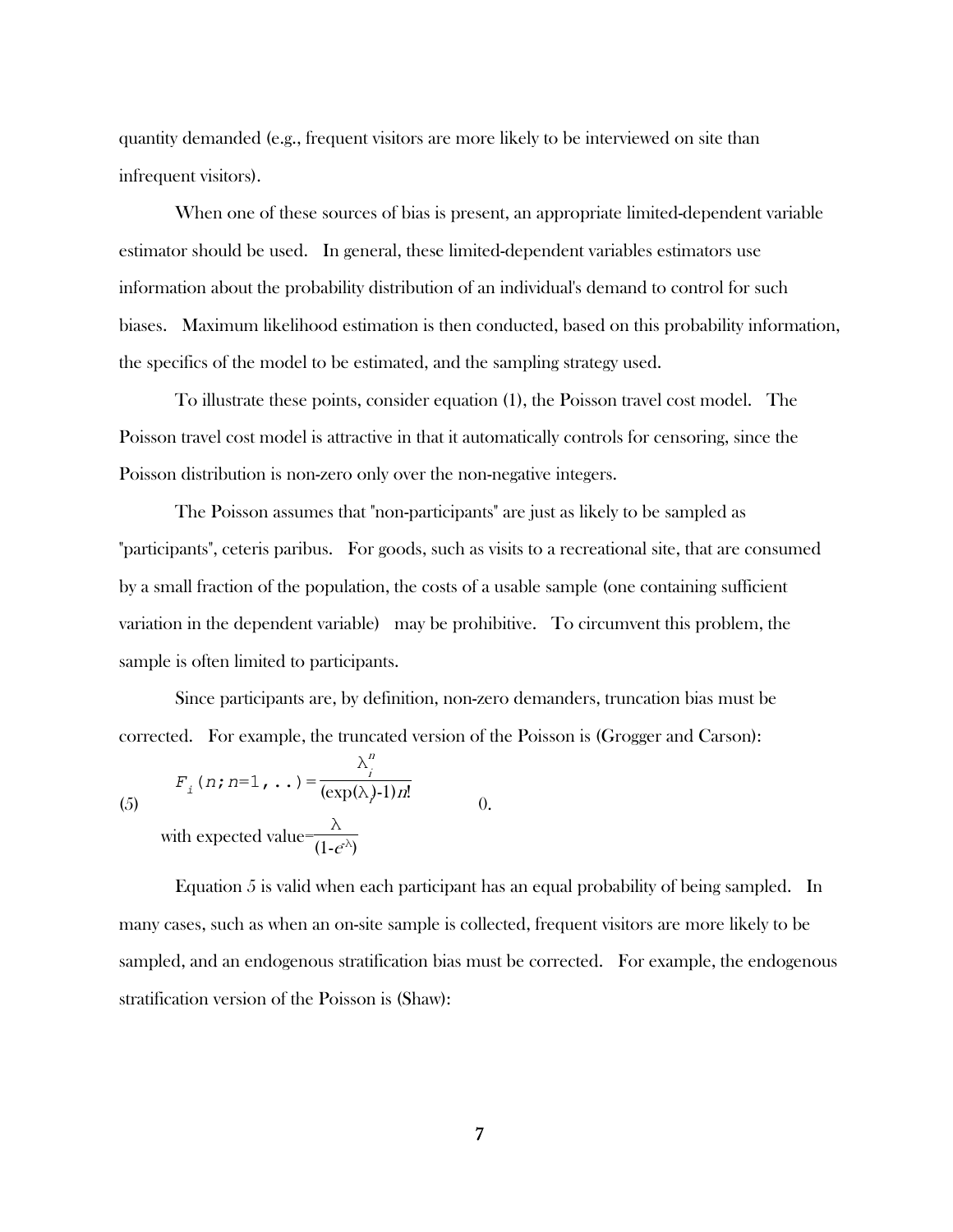quantity demanded (e.g., frequent visitors are more likely to be interviewed on site than infrequent visitors).

 When one of these sources of bias is present, an appropriate limited-dependent variable estimator should be used. In general, these limited-dependent variables estimators use information about the probability distribution of an individual's demand to control for such biases. Maximum likelihood estimation is then conducted, based on this probability information, the specifics of the model to be estimated, and the sampling strategy used.

 To illustrate these points, consider equation (1), the Poisson travel cost model. The Poisson travel cost model is attractive in that it automatically controls for censoring, since the Poisson distribution is non-zero only over the non-negative integers.

 The Poisson assumes that "non-participants" are just as likely to be sampled as "participants", ceteris paribus. For goods, such as visits to a recreational site, that are consumed by a small fraction of the population, the costs of a usable sample (one containing sufficient variation in the dependent variable) may be prohibitive. To circumvent this problem, the sample is often limited to participants.

 Since participants are, by definition, non-zero demanders, truncation bias must be corrected. For example, the truncated version of the Poisson is (Grogger and Carson):

> i  $(\exp(\lambda) - 1)n!$

$$
(5)
$$

with expected value $\frac{\lambda}{(1-e^{\lambda})}$ 

 $F_i(n;n=1, ...) = \frac{\lambda_i^n}{(\exp(\lambda))}$ 

 Equation 5 is valid when each participant has an equal probability of being sampled. In many cases, such as when an on-site sample is collected, frequent visitors are more likely to be sampled, and an endogenous stratification bias must be corrected. For example, the endogenous stratification version of the Poisson is (Shaw):

 $\Omega$ .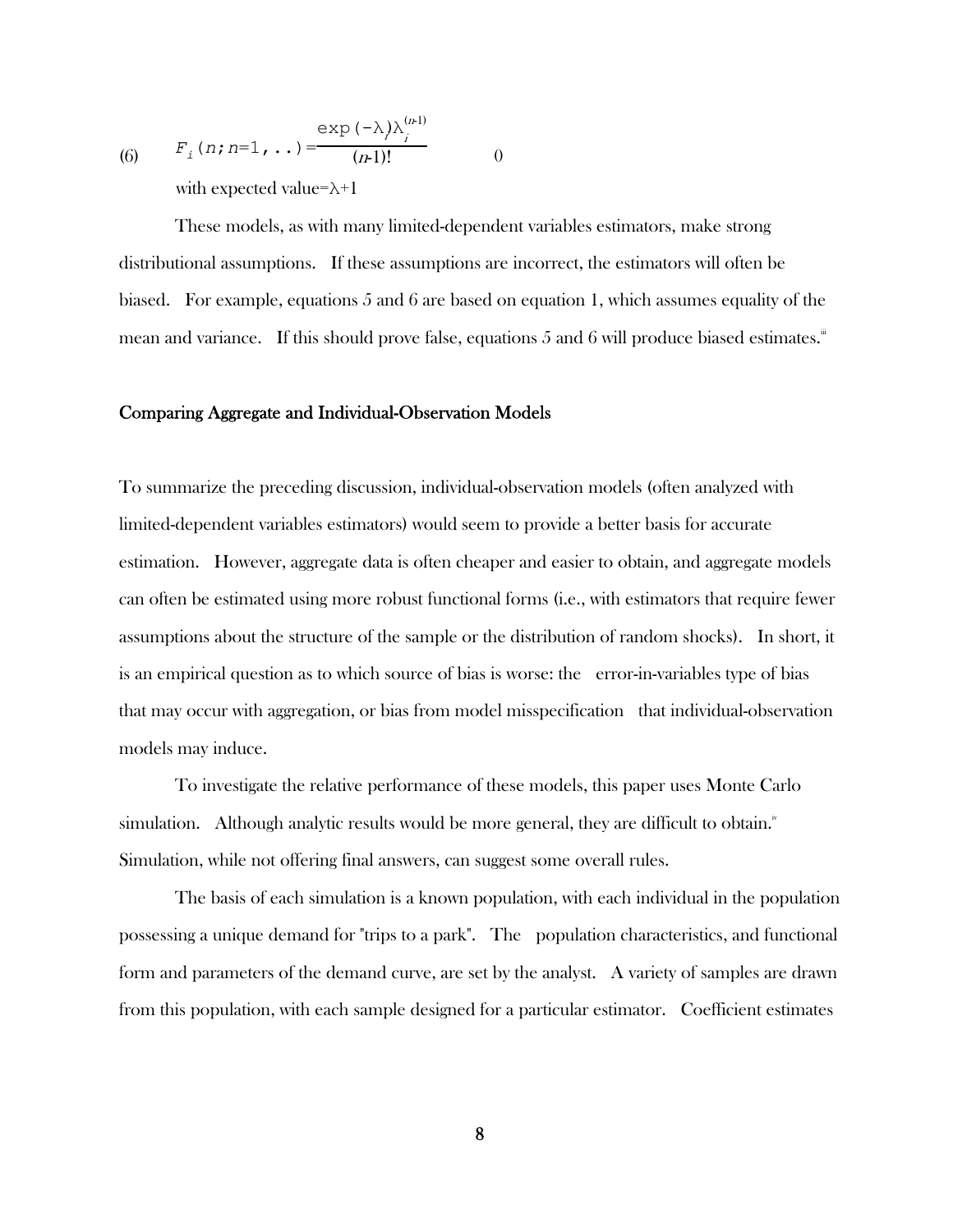(6) 
$$
F_i(n; n=1, ...) = \frac{\exp(-\lambda)\lambda_i^{(n-1)}}{(n-1)!}
$$
  
with expected value= $\lambda+1$ 

 These models, as with many limited-dependent variables estimators, make strong distributional assumptions. If these assumptions are incorrect, the estimators will often be biased. For example, equations 5 and 6 are based on equation 1, which assumes equality of the mean and variance. If this should prove false, equations 5 and 6 will produce biased estimates.

#### Comparing Aggregate and Individual-Observation Models

To summarize the preceding discussion, individual-observation models (often analyzed with limited-dependent variables estimators) would seem to provide a better basis for accurate estimation. However, aggregate data is often cheaper and easier to obtain, and aggregate models can often be estimated using more robust functional forms (i.e., with estimators that require fewer assumptions about the structure of the sample or the distribution of random shocks). In short, it is an empirical question as to which source of bias is worse: the error-in-variables type of bias that may occur with aggregation, or bias from model misspecification that individual-observation models may induce.

 To investigate the relative performance of these models, this paper uses Monte Carlo simulation. Although analytic results would be more general, they are difficult to obtain. $^{\mathrm{iv}}$ Simulation, while not offering final answers, can suggest some overall rules.

 The basis of each simulation is a known population, with each individual in the population possessing a unique demand for "trips to a park". The population characteristics, and functional form and parameters of the demand curve, are set by the analyst. A variety of samples are drawn from this population, with each sample designed for a particular estimator. Coefficient estimates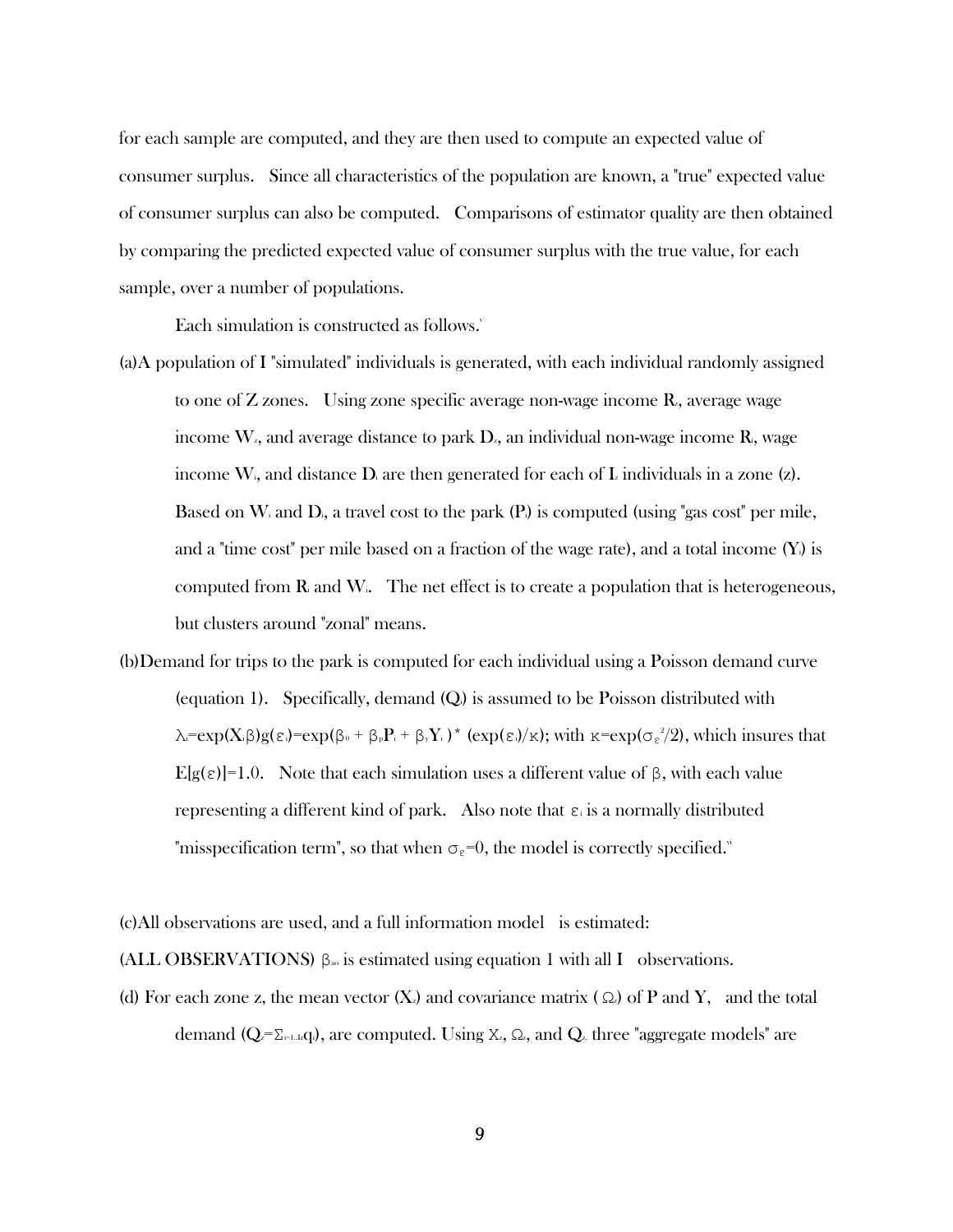for each sample are computed, and they are then used to compute an expected value of consumer surplus. Since all characteristics of the population are known, a "true" expected value of consumer surplus can also be computed. Comparisons of estimator quality are then obtained by comparing the predicted expected value of consumer surplus with the true value, for each sample, over a number of populations.

Each simulation is constructed as follows.

- (a)A population of I "simulated" individuals is generated, with each individual randomly assigned to one of  $Z$  zones. Using zone specific average non-wage income  $R$ , average wage income  $W<sub>z</sub>$ , and average distance to park  $D<sub>z</sub>$ , an individual non-wage income  $R<sub>z</sub>$ , wage income W<sub>i</sub>, and distance  $D_i$  are then generated for each of L individuals in a zone (z). Based on  $W_i$  and  $D_i$ , a travel cost to the park  $(P_i)$  is computed (using "gas cost" per mile, and a "time cost" per mile based on a fraction of the wage rate), and a total income  $(Y_i)$  is computed from  $\bf R$  and  $\bf W$ . The net effect is to create a population that is heterogeneous, but clusters around "zonal" means.
- (b)Demand for trips to the park is computed for each individual using a Poisson demand curve (equation 1). Specifically, demand  $(Q)$  is assumed to be Poisson distributed with  $\lambda = \exp(X_i \beta) g(\epsilon_i) = \exp(\beta_0 + \beta_0 P_i + \beta_0 Y_i) * (\exp(\epsilon_i)/\kappa);$  with  $\kappa = \exp(\sigma_{\epsilon}^2/2)$ , which insures that E[g(ε)]=1.0. Note that each simulation uses a different value of β, with each value representing a different kind of park. Also note that  $\varepsilon_i$  is a normally distributed "misspecification term", so that when  $\sigma_{\varepsilon}=0$ , the model is correctly specified."
- (c)All observations are used, and a full information model is estimated:

(ALL OBSERVATIONS)  $\beta_{\infty}$  is estimated using equation 1 with all I observations.

(d) For each zone z, the mean vector  $(X)$  and covariance matrix ( $\Omega$ ) of P and Y, and the total demand  $(Q_z=\Sigma_{i=1..L}q_i)$ , are computed. Using X<sub>z</sub>,  $\Omega_z$ , and  $Q_z$ , three "aggregate models" are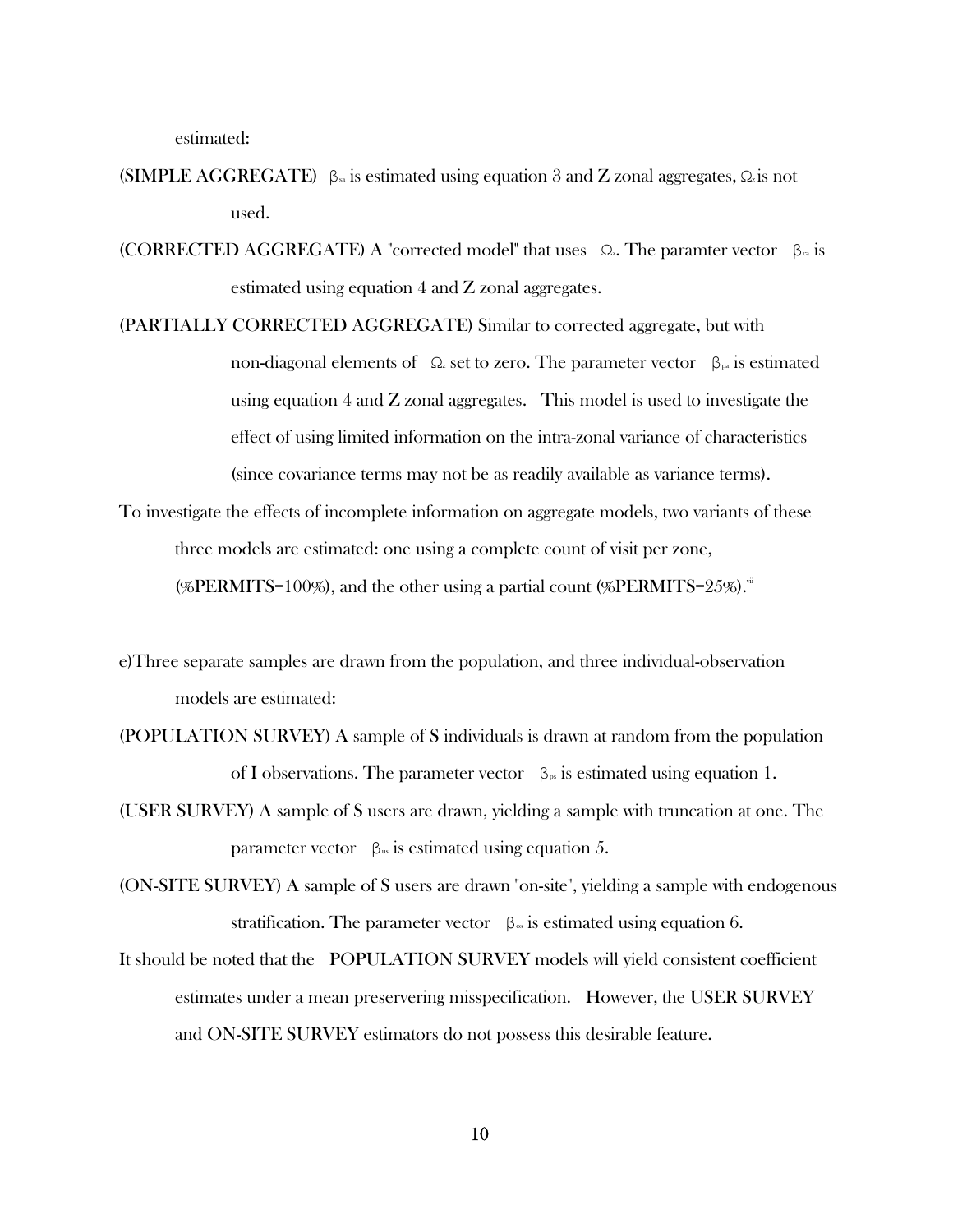estimated:

- (SIMPLE AGGREGATE)  $\beta_{\rm s}$  is estimated using equation 3 and Z zonal aggregates,  $\Omega_{\rm s}$  is not used.
- (CORRECTED AGGREGATE) A "corrected model" that uses  $\Omega$ . The paramter vector  $\beta_{\alpha}$  is estimated using equation 4 and Z zonal aggregates.
- (PARTIALLY CORRECTED AGGREGATE) Similar to corrected aggregate, but with non-diagonal elements of  $\Omega$  set to zero. The parameter vector  $\beta_{\mathbb{P}^{\alpha}}$  is estimated using equation 4 and Z zonal aggregates. This model is used to investigate the effect of using limited information on the intra-zonal variance of characteristics (since covariance terms may not be as readily available as variance terms).
- To investigate the effects of incomplete information on aggregate models, two variants of these three models are estimated: one using a complete count of visit per zone, (%PERMITS=100%), and the other using a partial count (%PERMITS= $25\%$ ).<sup>ii</sup>
- e)Three separate samples are drawn from the population, and three individual-observation models are estimated:
- (POPULATION SURVEY) A sample of S individuals is drawn at random from the population of I observations. The parameter vector  $\beta_{\nu}$  is estimated using equation 1.
- (USER SURVEY) A sample of S users are drawn, yielding a sample with truncation at one. The parameter vector  $β<sub>w</sub>$  is estimated using equation 5.
- (ON-SITE SURVEY) A sample of S users are drawn "on-site", yielding a sample with endogenous stratification. The parameter vector  $\beta_{\infty}$  is estimated using equation 6.
- It should be noted that the POPULATION SURVEY models will yield consistent coefficient estimates under a mean preservering misspecification. However, the USER SURVEY and ON-SITE SURVEY estimators do not possess this desirable feature.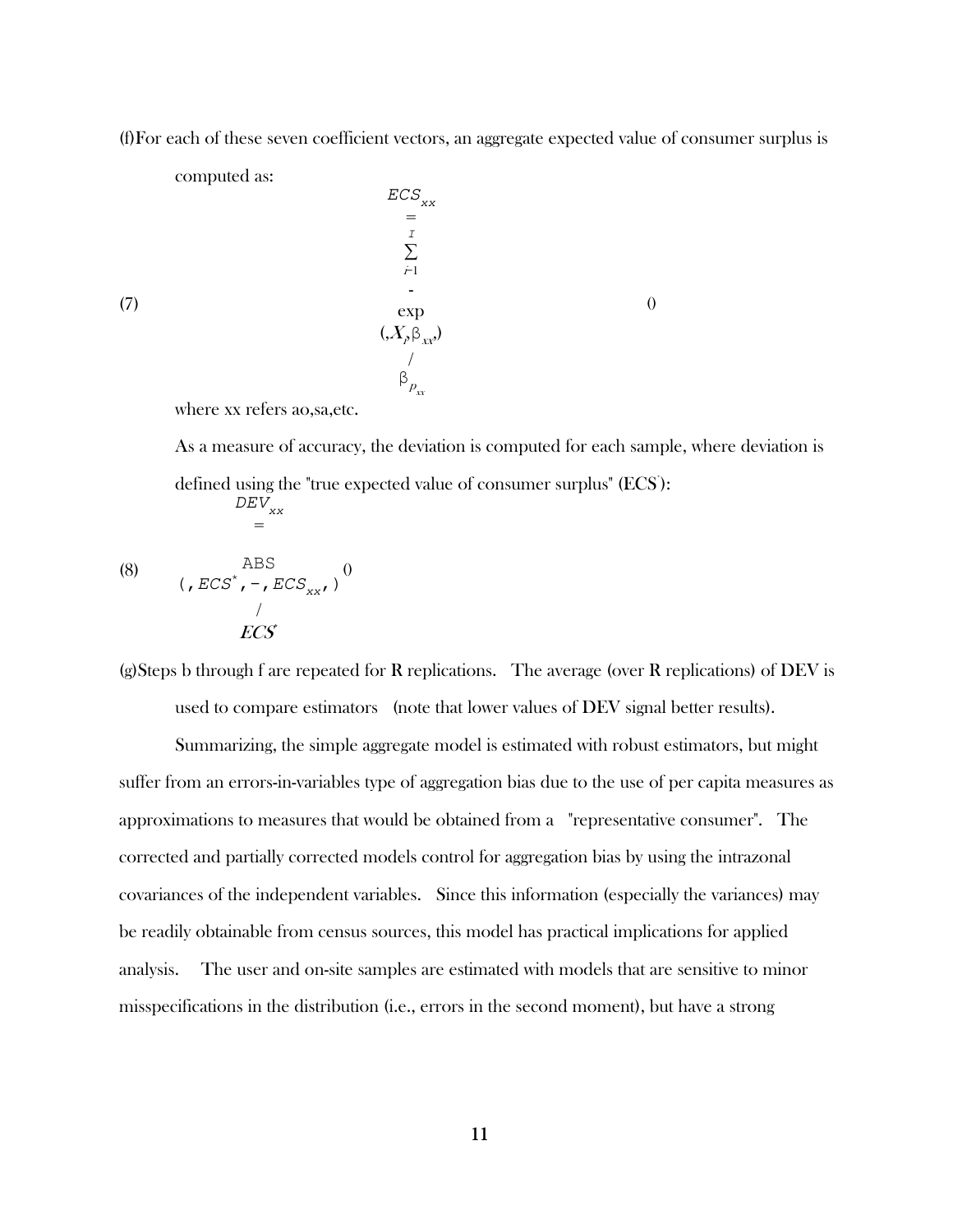(f)For each of these seven coefficient vectors, an aggregate expected value of consumer surplus is

computed as:

 $\mathit{ECS}_\mathrm{xx}$ =  $\cal I$ ∑  $\dot{r}$  exp  $(X_{p}\beta_{xx})$ /  $\beta_{P_{\scriptscriptstyle XX}}^{}$ 0

(7)

where xx refers ao,sa,etc.

 As a measure of accuracy, the deviation is computed for each sample, where deviation is defined using the "true expected value of consumer surplus" (ECS):  $DEV_{_{XX}}$ =

(8) 
$$
ABS \n\left( , ECS^*, -, ECS_{xx}, 0 \right)
$$

(g) Steps b through f are repeated for R replications. The average (over R replications) of DEV is used to compare estimators (note that lower values of DEV signal better results).

 Summarizing, the simple aggregate model is estimated with robust estimators, but might suffer from an errors-in-variables type of aggregation bias due to the use of per capita measures as approximations to measures that would be obtained from a "representative consumer". The corrected and partially corrected models control for aggregation bias by using the intrazonal covariances of the independent variables. Since this information (especially the variances) may be readily obtainable from census sources, this model has practical implications for applied analysis. The user and on-site samples are estimated with models that are sensitive to minor misspecifications in the distribution (i.e., errors in the second moment), but have a strong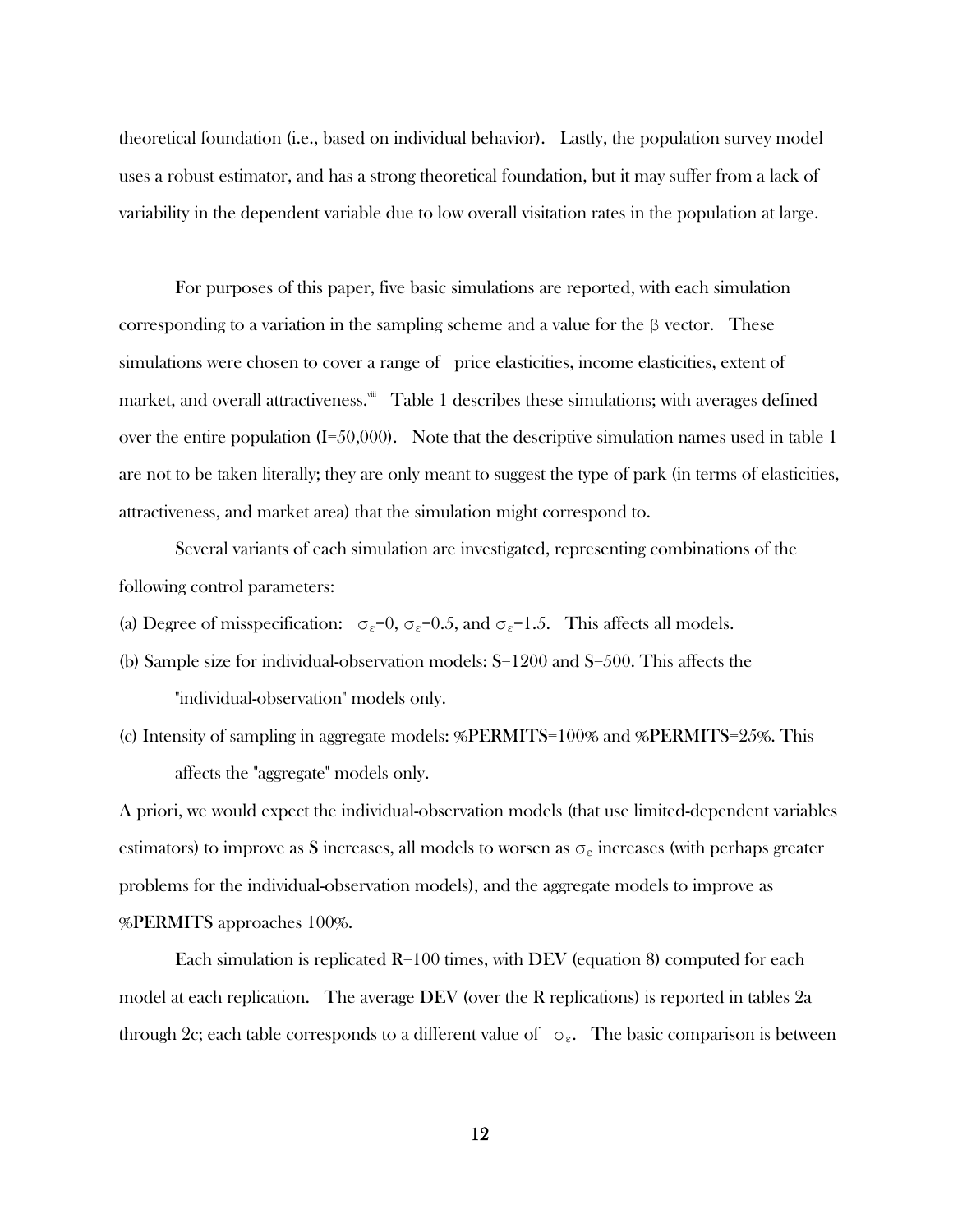theoretical foundation (i.e., based on individual behavior). Lastly, the population survey model uses a robust estimator, and has a strong theoretical foundation, but it may suffer from a lack of variability in the dependent variable due to low overall visitation rates in the population at large.

 For purposes of this paper, five basic simulations are reported, with each simulation corresponding to a variation in the sampling scheme and a value for the  $\beta$  vector. These simulations were chosen to cover a range of price elasticities, income elasticities, extent of market, and overall attractiveness.<sup>\*\*</sup> Table 1 describes these simulations; with averages defined over the entire population  $(I=50,000)$ . Note that the descriptive simulation names used in table 1 are not to be taken literally; they are only meant to suggest the type of park (in terms of elasticities, attractiveness, and market area) that the simulation might correspond to.

 Several variants of each simulation are investigated, representing combinations of the following control parameters:

- (a) Degree of misspecification:  $\sigma_{\epsilon}=0$ ,  $\sigma_{\epsilon}=0.5$ , and  $\sigma_{\epsilon}=1.5$ . This affects all models.
- (b) Sample size for individual-observation models: S=1200 and S=500. This affects the

"individual-observation" models only.

(c) Intensity of sampling in aggregate models: %PERMITS=100% and %PERMITS=25%. This affects the "aggregate" models only.

A priori, we would expect the individual-observation models (that use limited-dependent variables estimators) to improve as S increases, all models to worsen as  $\sigma_{\varepsilon}$  increases (with perhaps greater problems for the individual-observation models), and the aggregate models to improve as %PERMITS approaches 100%.

 Each simulation is replicated R=100 times, with DEV (equation 8) computed for each model at each replication. The average DEV (over the R replications) is reported in tables 2a through 2c; each table corresponds to a different value of  $\sigma_{\varepsilon}$ . The basic comparison is between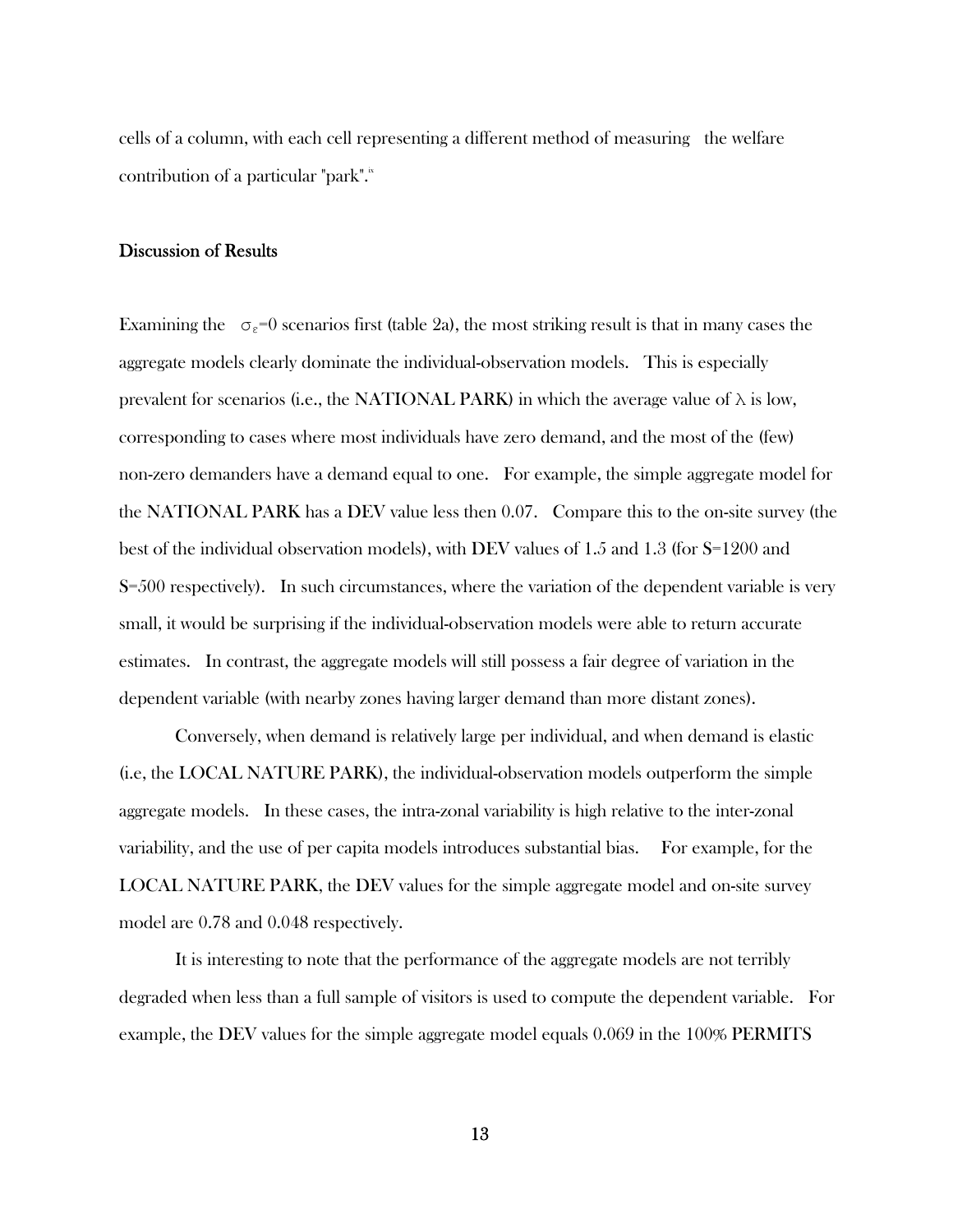cells of a column, with each cell representing a different method of measuring the welfare contribution of a particular "park".<sup>ix</sup>

## Discussion of Results

Examining the  $\sigma_{\varepsilon}=0$  scenarios first (table 2a), the most striking result is that in many cases the aggregate models clearly dominate the individual-observation models. This is especially prevalent for scenarios (i.e., the NATIONAL PARK) in which the average value of  $\lambda$  is low, corresponding to cases where most individuals have zero demand, and the most of the (few) non-zero demanders have a demand equal to one. For example, the simple aggregate model for the NATIONAL PARK has a DEV value less then 0.07. Compare this to the on-site survey (the best of the individual observation models), with DEV values of 1.5 and 1.3 (for S=1200 and S=500 respectively). In such circumstances, where the variation of the dependent variable is very small, it would be surprising if the individual-observation models were able to return accurate estimates. In contrast, the aggregate models will still possess a fair degree of variation in the dependent variable (with nearby zones having larger demand than more distant zones).

 Conversely, when demand is relatively large per individual, and when demand is elastic (i.e, the LOCAL NATURE PARK), the individual-observation models outperform the simple aggregate models. In these cases, the intra-zonal variability is high relative to the inter-zonal variability, and the use of per capita models introduces substantial bias. For example, for the LOCAL NATURE PARK, the DEV values for the simple aggregate model and on-site survey model are 0.78 and 0.048 respectively.

 It is interesting to note that the performance of the aggregate models are not terribly degraded when less than a full sample of visitors is used to compute the dependent variable. For example, the DEV values for the simple aggregate model equals 0.069 in the 100% PERMITS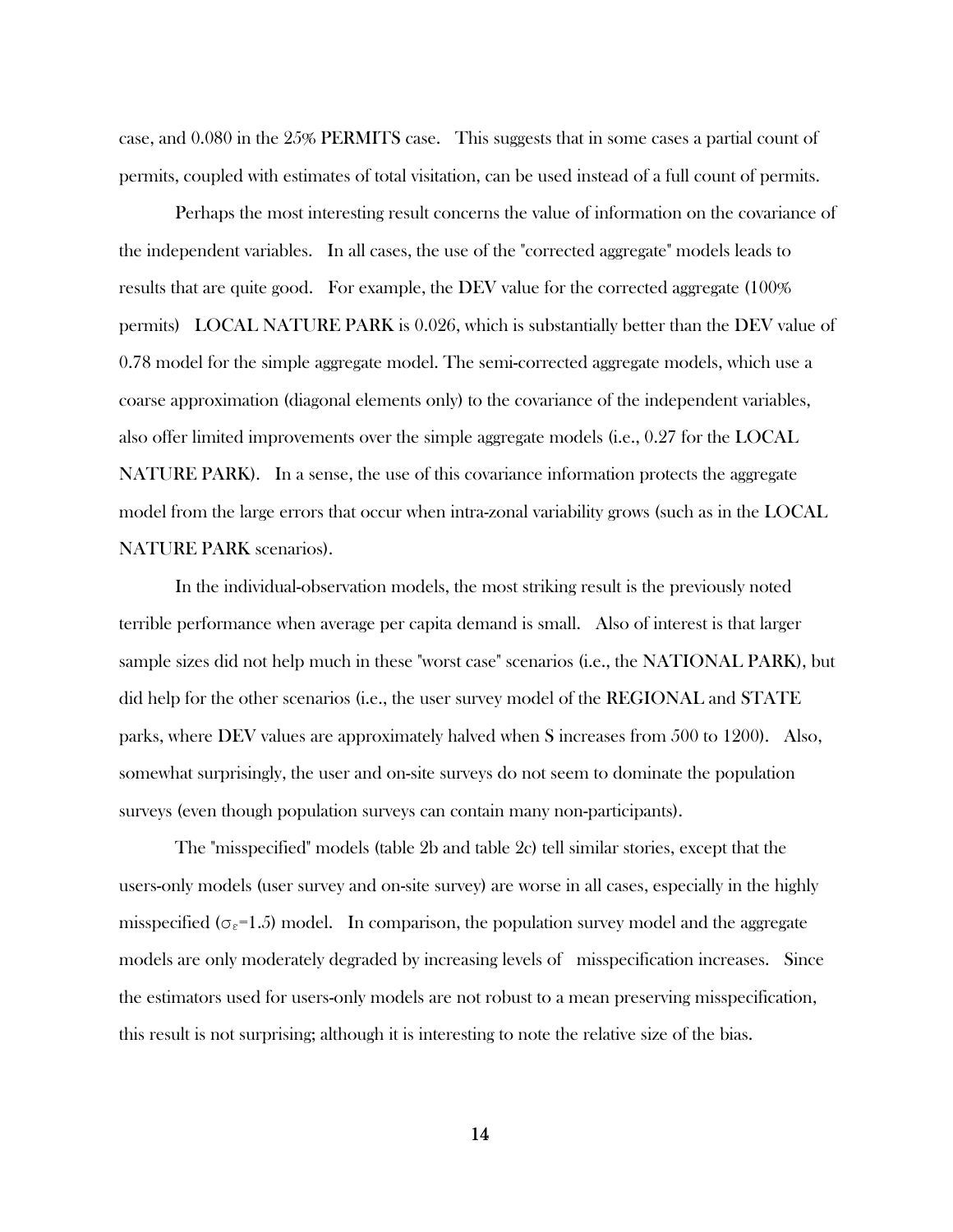case, and 0.080 in the 25% PERMITS case. This suggests that in some cases a partial count of permits, coupled with estimates of total visitation, can be used instead of a full count of permits.

 Perhaps the most interesting result concerns the value of information on the covariance of the independent variables. In all cases, the use of the "corrected aggregate" models leads to results that are quite good. For example, the DEV value for the corrected aggregate (100% permits) LOCAL NATURE PARK is 0.026, which is substantially better than the DEV value of 0.78 model for the simple aggregate model. The semi-corrected aggregate models, which use a coarse approximation (diagonal elements only) to the covariance of the independent variables, also offer limited improvements over the simple aggregate models (i.e., 0.27 for the LOCAL NATURE PARK). In a sense, the use of this covariance information protects the aggregate model from the large errors that occur when intra-zonal variability grows (such as in the LOCAL NATURE PARK scenarios).

 In the individual-observation models, the most striking result is the previously noted terrible performance when average per capita demand is small. Also of interest is that larger sample sizes did not help much in these "worst case" scenarios (i.e., the NATIONAL PARK), but did help for the other scenarios (i.e., the user survey model of the REGIONAL and STATE parks, where DEV values are approximately halved when S increases from 500 to 1200). Also, somewhat surprisingly, the user and on-site surveys do not seem to dominate the population surveys (even though population surveys can contain many non-participants).

 The "misspecified" models (table 2b and table 2c) tell similar stories, except that the users-only models (user survey and on-site survey) are worse in all cases, especially in the highly misspecified ( $\sigma_{\epsilon}$ =1.5) model. In comparison, the population survey model and the aggregate models are only moderately degraded by increasing levels of misspecification increases. Since the estimators used for users-only models are not robust to a mean preserving misspecification, this result is not surprising; although it is interesting to note the relative size of the bias.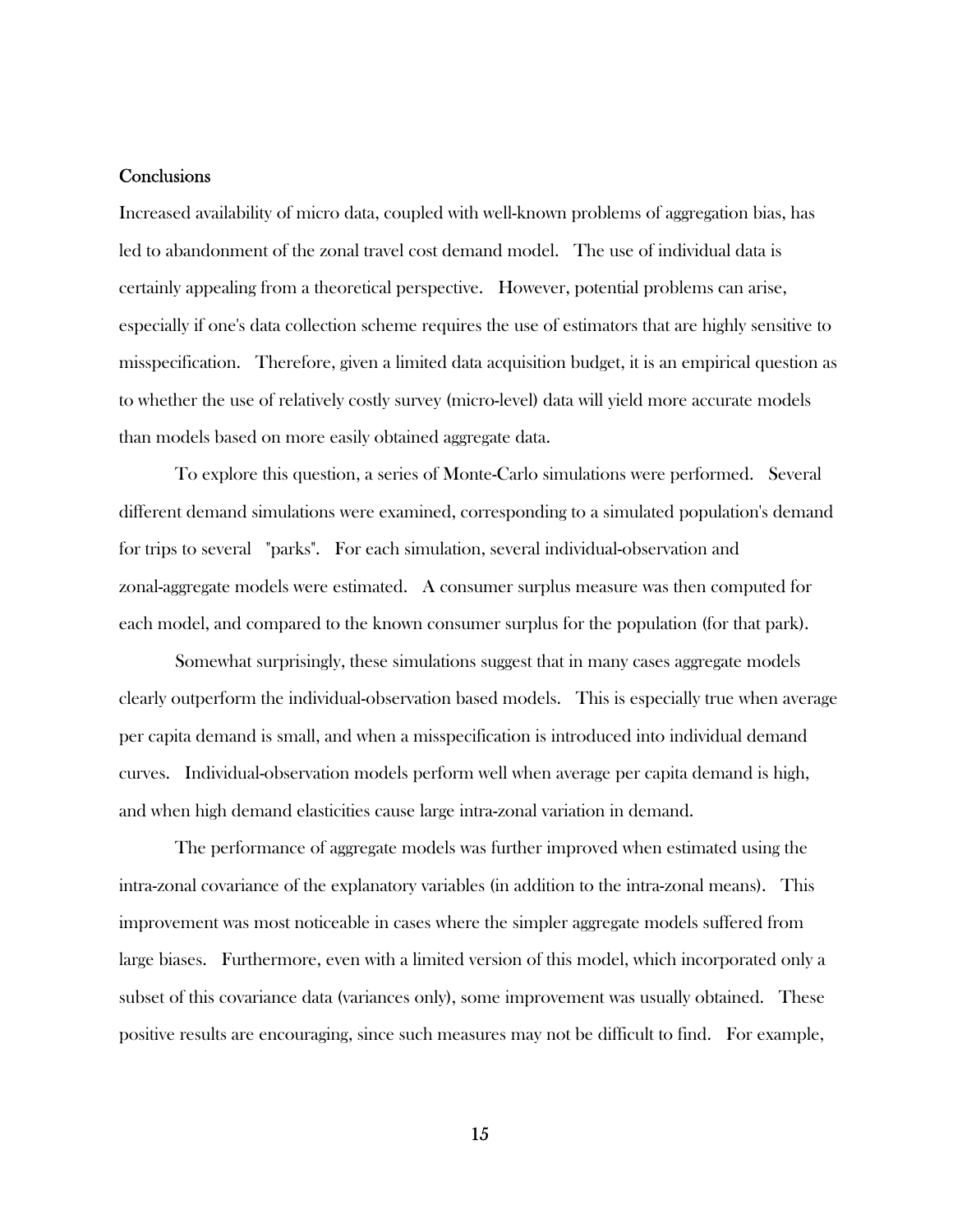#### **Conclusions**

Increased availability of micro data, coupled with well-known problems of aggregation bias, has led to abandonment of the zonal travel cost demand model. The use of individual data is certainly appealing from a theoretical perspective. However, potential problems can arise, especially if one's data collection scheme requires the use of estimators that are highly sensitive to misspecification. Therefore, given a limited data acquisition budget, it is an empirical question as to whether the use of relatively costly survey (micro-level) data will yield more accurate models than models based on more easily obtained aggregate data.

 To explore this question, a series of Monte-Carlo simulations were performed. Several different demand simulations were examined, corresponding to a simulated population's demand for trips to several "parks". For each simulation, several individual-observation and zonal-aggregate models were estimated. A consumer surplus measure was then computed for each model, and compared to the known consumer surplus for the population (for that park).

 Somewhat surprisingly, these simulations suggest that in many cases aggregate models clearly outperform the individual-observation based models. This is especially true when average per capita demand is small, and when a misspecification is introduced into individual demand curves. Individual-observation models perform well when average per capita demand is high, and when high demand elasticities cause large intra-zonal variation in demand.

 The performance of aggregate models was further improved when estimated using the intra-zonal covariance of the explanatory variables (in addition to the intra-zonal means). This improvement was most noticeable in cases where the simpler aggregate models suffered from large biases. Furthermore, even with a limited version of this model, which incorporated only a subset of this covariance data (variances only), some improvement was usually obtained. These positive results are encouraging, since such measures may not be difficult to find. For example,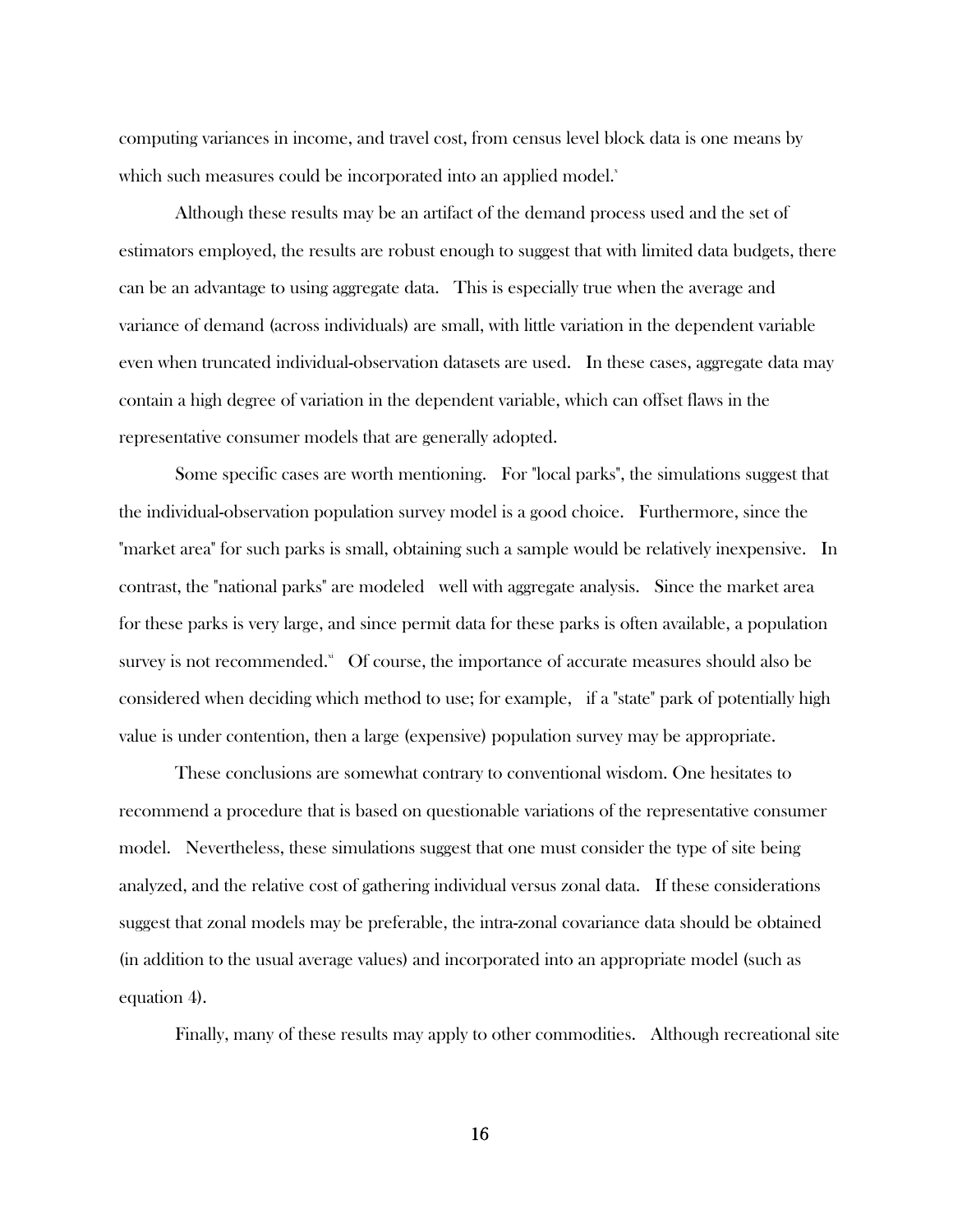computing variances in income, and travel cost, from census level block data is one means by which such measures could be incorporated into an applied model.<sup>x</sup>

 Although these results may be an artifact of the demand process used and the set of estimators employed, the results are robust enough to suggest that with limited data budgets, there can be an advantage to using aggregate data. This is especially true when the average and variance of demand (across individuals) are small, with little variation in the dependent variable even when truncated individual-observation datasets are used. In these cases, aggregate data may contain a high degree of variation in the dependent variable, which can offset flaws in the representative consumer models that are generally adopted.

 Some specific cases are worth mentioning. For "local parks", the simulations suggest that the individual-observation population survey model is a good choice. Furthermore, since the "market area" for such parks is small, obtaining such a sample would be relatively inexpensive. In contrast, the "national parks" are modeled well with aggregate analysis. Since the market area for these parks is very large, and since permit data for these parks is often available, a population survey is not recommended. $\ddot{\text{a}}$  Of course, the importance of accurate measures should also be considered when deciding which method to use; for example, if a "state" park of potentially high value is under contention, then a large (expensive) population survey may be appropriate.

 These conclusions are somewhat contrary to conventional wisdom. One hesitates to recommend a procedure that is based on questionable variations of the representative consumer model. Nevertheless, these simulations suggest that one must consider the type of site being analyzed, and the relative cost of gathering individual versus zonal data. If these considerations suggest that zonal models may be preferable, the intra-zonal covariance data should be obtained (in addition to the usual average values) and incorporated into an appropriate model (such as equation 4).

Finally, many of these results may apply to other commodities. Although recreational site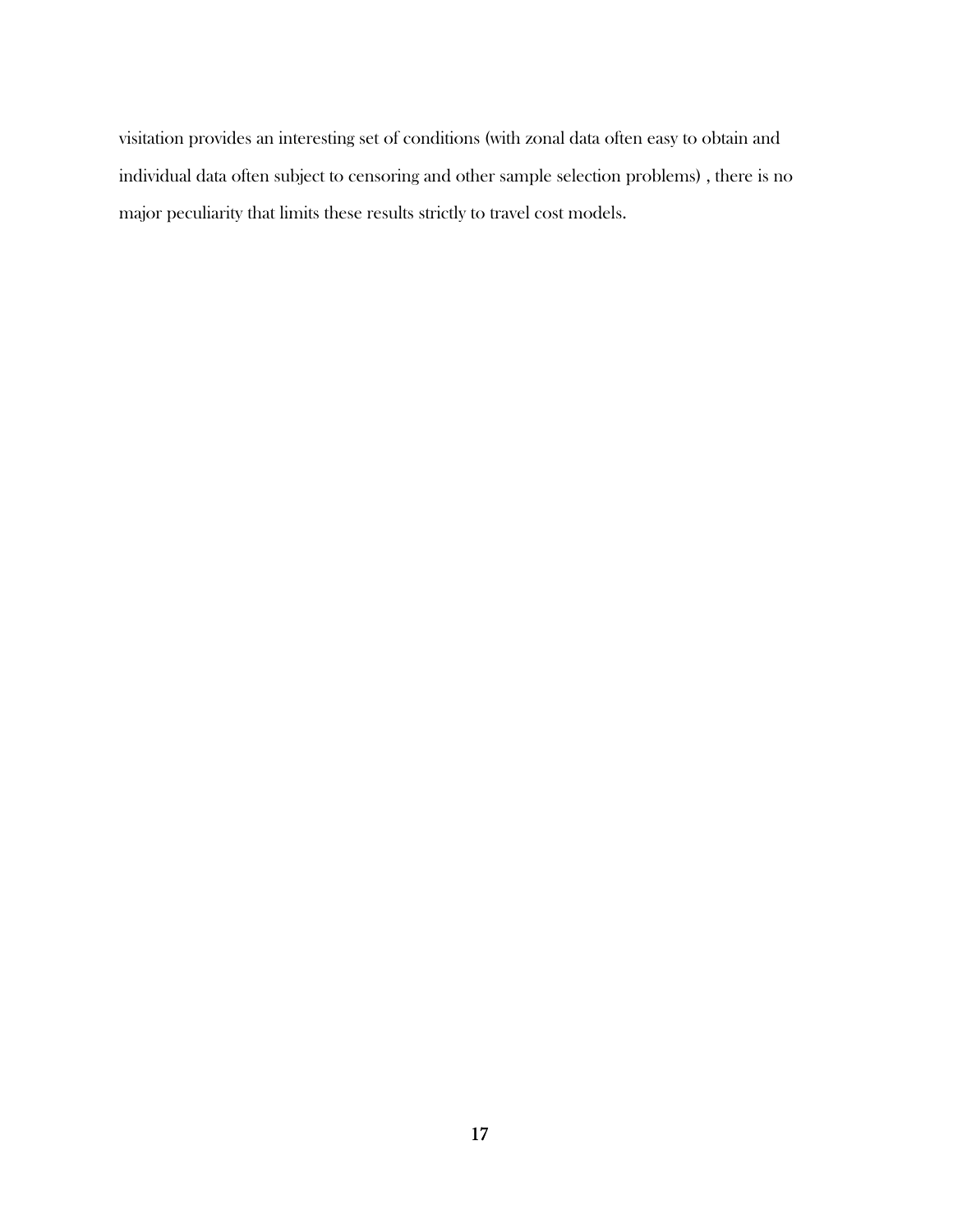visitation provides an interesting set of conditions (with zonal data often easy to obtain and individual data often subject to censoring and other sample selection problems) , there is no major peculiarity that limits these results strictly to travel cost models.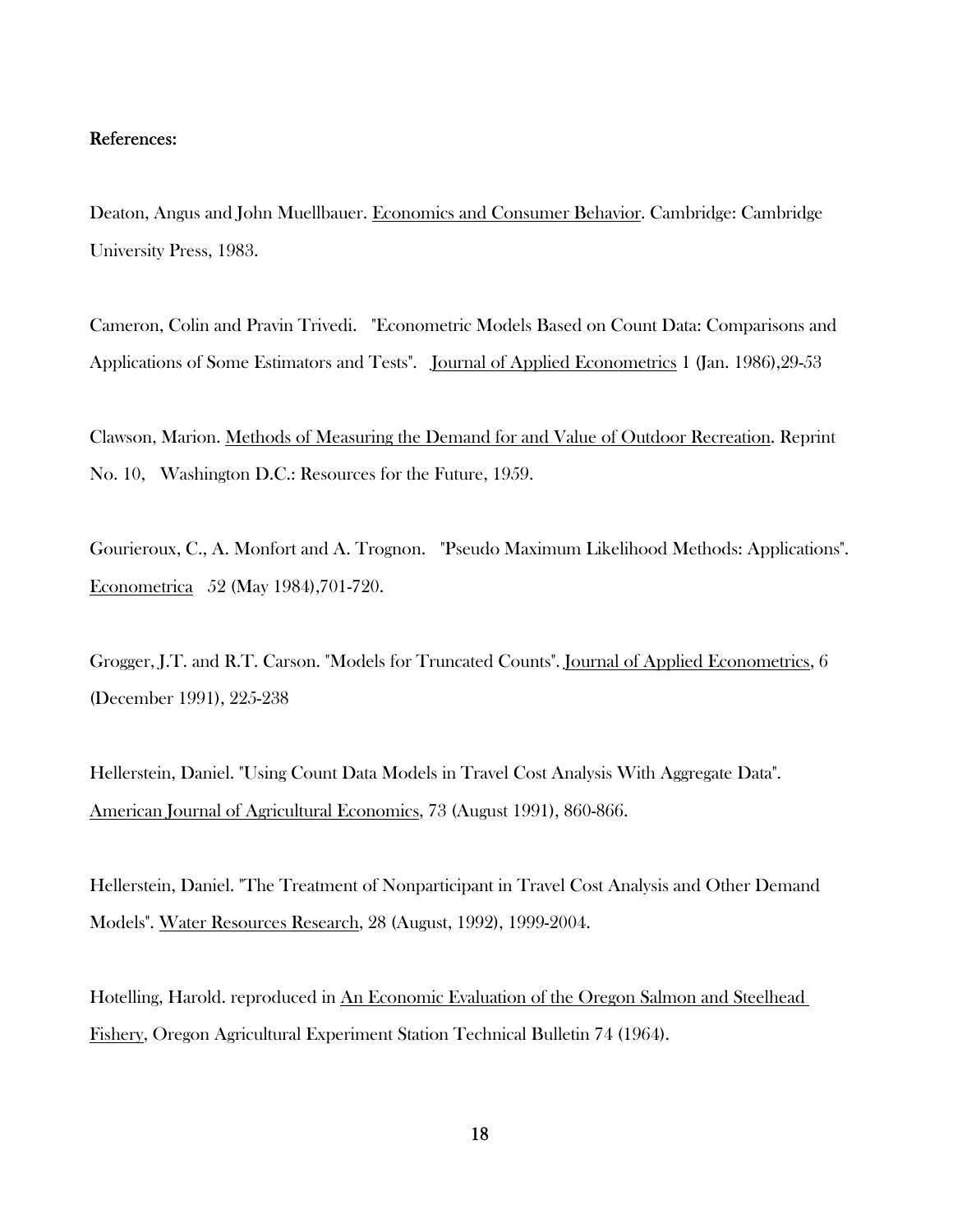# References:

Deaton, Angus and John Muellbauer. Economics and Consumer Behavior. Cambridge: Cambridge University Press, 1983.

Cameron, Colin and Pravin Trivedi. "Econometric Models Based on Count Data: Comparisons and Applications of Some Estimators and Tests". Journal of Applied Econometrics 1 (Jan. 1986),29-53

Clawson, Marion. Methods of Measuring the Demand for and Value of Outdoor Recreation. Reprint No. 10, Washington D.C.: Resources for the Future, 1959.

Gourieroux, C., A. Monfort and A. Trognon. "Pseudo Maximum Likelihood Methods: Applications". Econometrica 52 (May 1984),701-720.

Grogger, J.T. and R.T. Carson. "Models for Truncated Counts". Journal of Applied Econometrics, 6 (December 1991), 225-238

Hellerstein, Daniel. "Using Count Data Models in Travel Cost Analysis With Aggregate Data". American Journal of Agricultural Economics, 73 (August 1991), 860-866.

Hellerstein, Daniel. "The Treatment of Nonparticipant in Travel Cost Analysis and Other Demand Models". Water Resources Research, 28 (August, 1992), 1999-2004.

Hotelling, Harold. reproduced in An Economic Evaluation of the Oregon Salmon and Steelhead Fishery, Oregon Agricultural Experiment Station Technical Bulletin 74 (1964).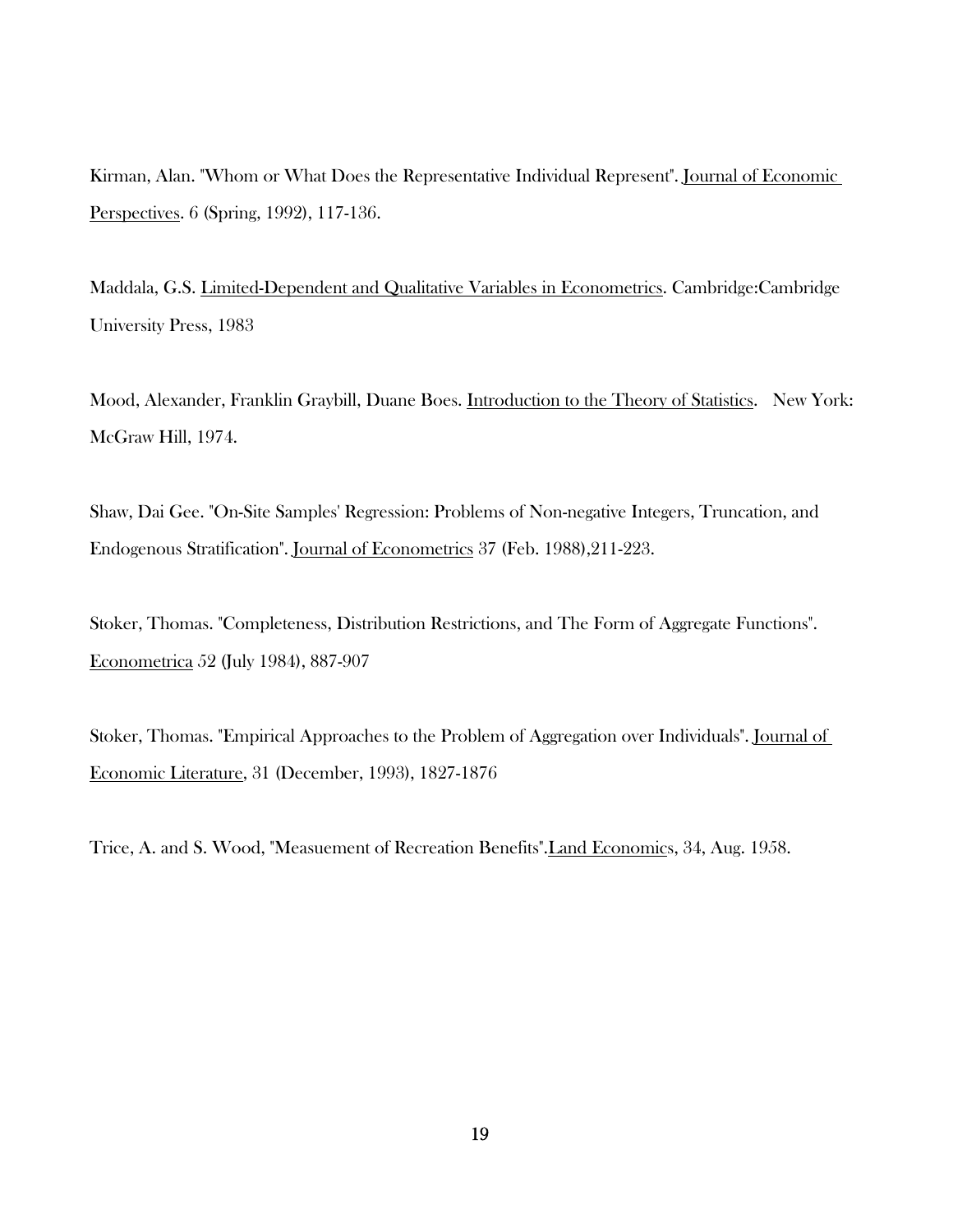Kirman, Alan. "Whom or What Does the Representative Individual Represent". Journal of Economic Perspectives. 6 (Spring, 1992), 117-136.

Maddala, G.S. Limited-Dependent and Qualitative Variables in Econometrics. Cambridge:Cambridge University Press, 1983

Mood, Alexander, Franklin Graybill, Duane Boes. Introduction to the Theory of Statistics. New York: McGraw Hill, 1974.

Shaw, Dai Gee. "On-Site Samples' Regression: Problems of Non-negative Integers, Truncation, and Endogenous Stratification". Journal of Econometrics 37 (Feb. 1988),211-223.

Stoker, Thomas. "Completeness, Distribution Restrictions, and The Form of Aggregate Functions". Econometrica 52 (July 1984), 887-907

Stoker, Thomas. "Empirical Approaches to the Problem of Aggregation over Individuals". Journal of Economic Literature, 31 (December, 1993), 1827-1876

Trice, A. and S. Wood, "Measuement of Recreation Benefits".Land Economics, 34, Aug. 1958.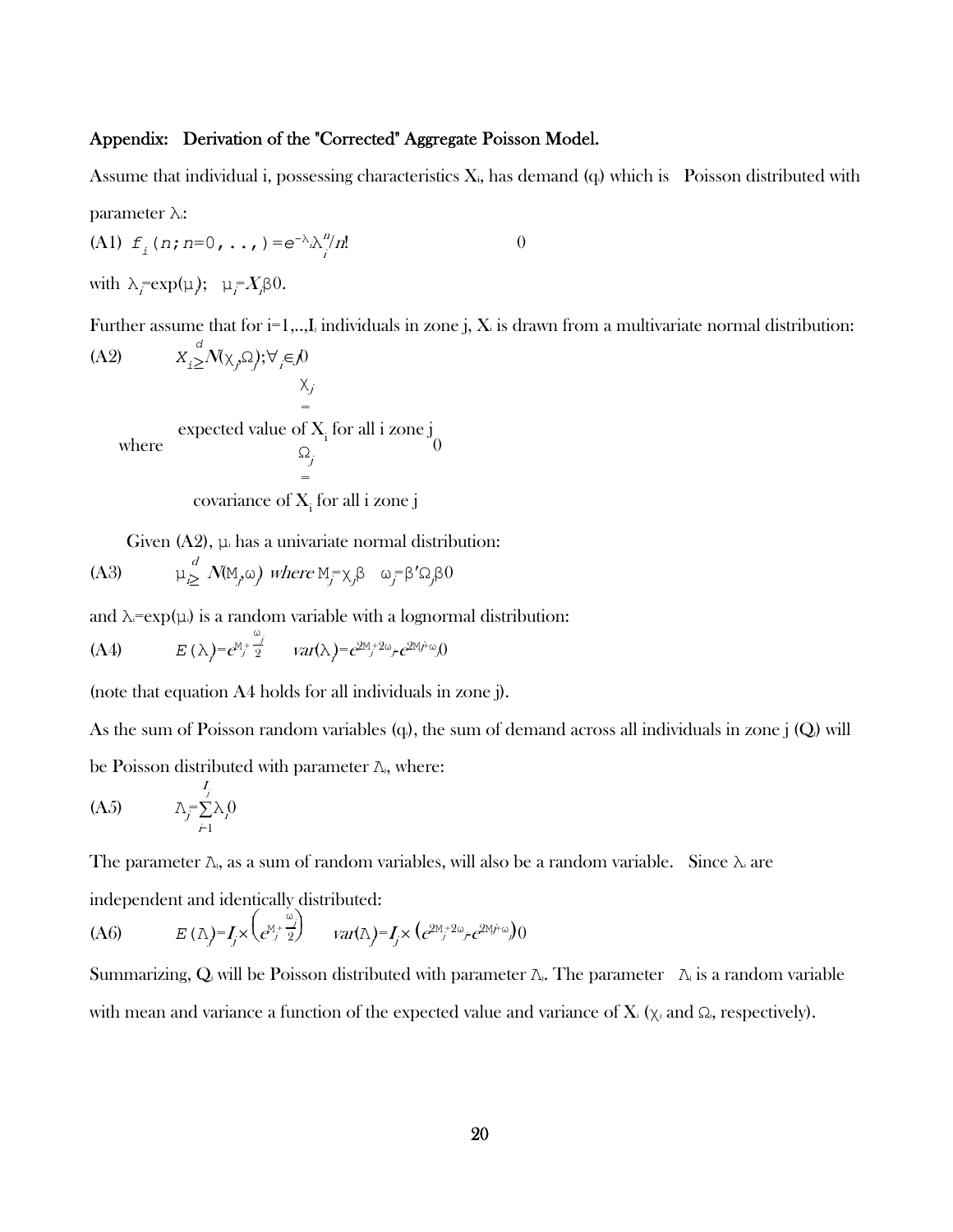# Appendix: Derivation of the "Corrected" Aggregate Poisson Model.

Assume that individual i, possessing characteristics  $X_i$ , has demand  $(q_i)$  which is Poisson distributed with

parameter λi:

(A1) 
$$
f_i(n; n=0, ..., )=e^{-\lambda} \lambda_i^{n}/n!
$$
 0

with  $\lambda_i = \exp(\mu)$ ;  $\mu_i = X_i \upbeta 0$ .

Further assume that for  $i=1,...,I_j$  individuals in zone j, X<sub>i</sub> is drawn from a multivariate normal distribution:

(A2) 
$$
X_{i} \geq N(\chi_{j}, \Omega); \forall_{j} \in \mathcal{N}
$$
  
\n $\chi_{j}$   
\n= expected value of X<sub>i</sub> for all i zone j  
\n $\Omega_{j}$   
\n= covariance of X<sub>i</sub> for all i zone j

Given  $(A2)$ ,  $\mu_i$  has a univariate normal distribution:

(A3) 
$$
\mu_{\geq}^d N(M_j \omega)
$$
 where  $M_j = \chi_j \beta \omega_j = \beta' \Omega_j \beta^0$ 

and  $\lambda = \exp(\mu)$  is a random variable with a lognormal distribution:

$$
\text{(A4)} \qquad E(\lambda) = e^{\lambda j} \frac{\omega_j}{2} \qquad \text{var}(\lambda) = e^{2\lambda j} e^{2\lambda j} e^{2\lambda j} \omega_j 0
$$

(note that equation A4 holds for all individuals in zone j).

As the sum of Poisson random variables  $(q_i)$ , the sum of demand across all individuals in zone j  $(Q_i)$  will

be Poisson distributed with parameter Λj, where:

$$
\text{(A5)} \qquad \qquad \lambda_j = \sum_{j=1}^{I_j} \lambda_j 0
$$

The parameter  $\Lambda_i$ , as a sum of random variables, will also be a random variable. Since  $\Lambda_i$  are

independent and identically distributed:

$$
(A6) \t E(\Lambda) = I_j \times \left(e^{\mathbf{M}_j + \frac{\omega_j}{2}}\right) \t var(\Lambda) = I_j \times \left(e^{2\mathbf{M}_j + 2\omega_j} e^{2\mathbf{M}_j + \omega_j}\right) 0
$$

Summarizing, Q will be Poisson distributed with parameter  $\Lambda_i$ . The parameter  $\Lambda_i$  is a random variable with mean and variance a function of the expected value and variance of  $X_i$  ( $\chi_i$  and  $\Omega_i$ , respectively).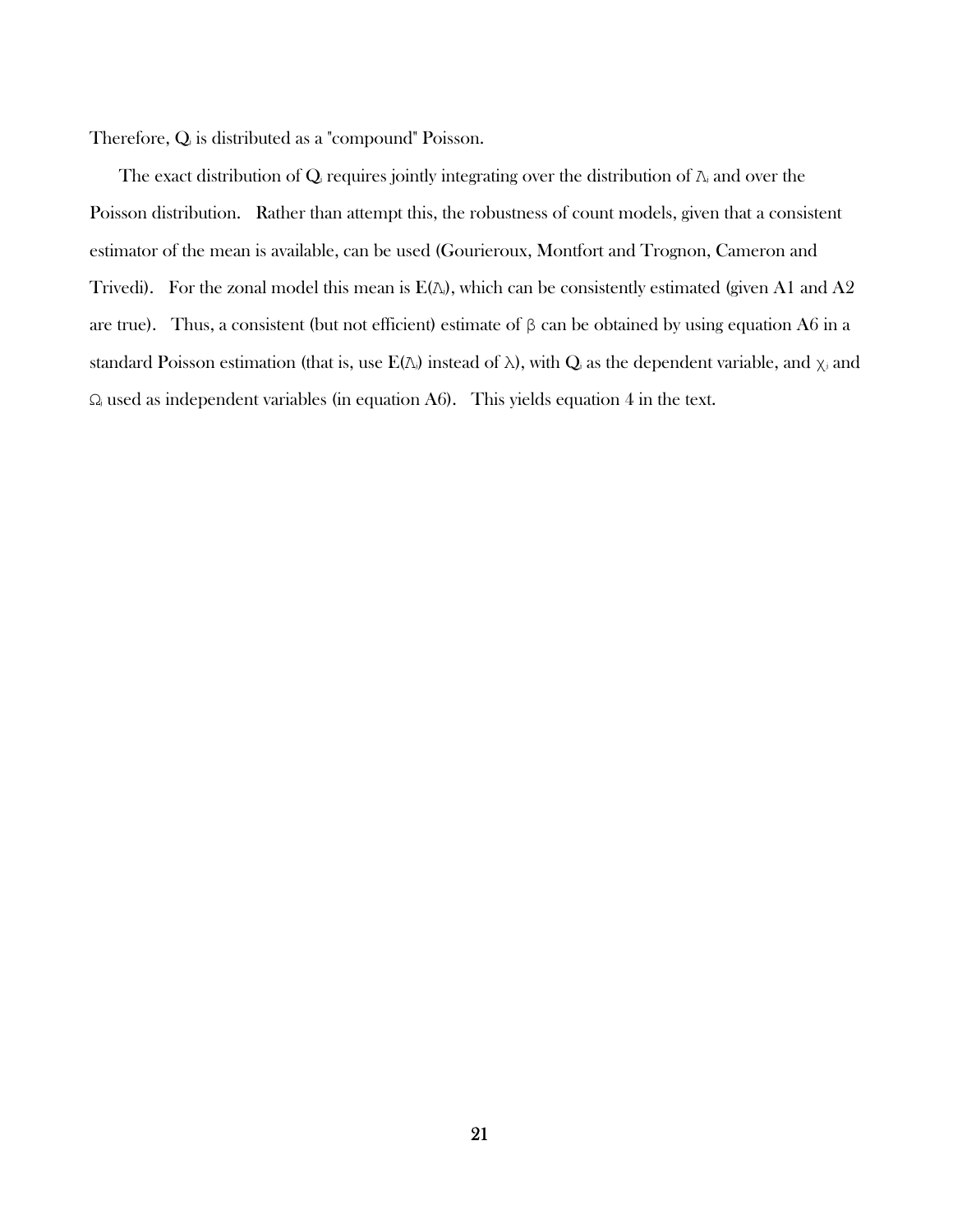Therefore, Qj is distributed as a "compound" Poisson.

The exact distribution of  $Q_i$  requires jointly integrating over the distribution of  $\Lambda_i$  and over the Poisson distribution. Rather than attempt this, the robustness of count models, given that a consistent estimator of the mean is available, can be used (Gourieroux, Montfort and Trognon, Cameron and Trivedi). For the zonal model this mean is  $E(\Lambda_i)$ , which can be consistently estimated (given A1 and A2 are true). Thus, a consistent (but not efficient) estimate of  $\beta$  can be obtained by using equation A6 in a standard Poisson estimation (that is, use  $E(\Lambda)$ ) instead of  $\lambda$ ), with  $Q_i$  as the dependent variable, and  $\chi_i$  and  $\Omega_i$  used as independent variables (in equation A6). This yields equation 4 in the text.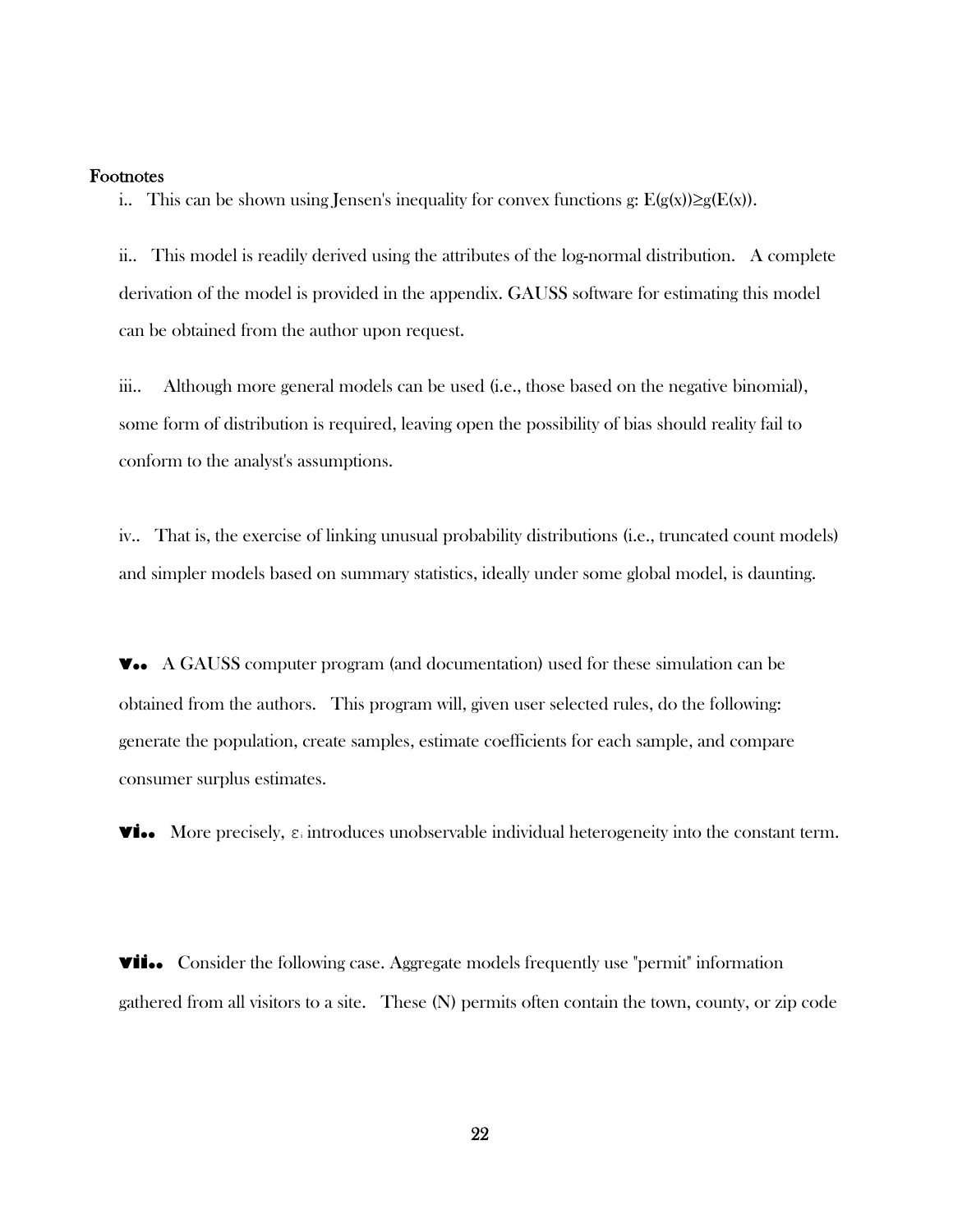#### Footnotes

i.. This can be shown using Jensen's inequality for convex functions g:  $E(g(x))\geq g(E(x))$ .

ii.. This model is readily derived using the attributes of the log-normal distribution. A complete derivation of the model is provided in the appendix. GAUSS software for estimating this model can be obtained from the author upon request.

iii.. Although more general models can be used (i.e., those based on the negative binomial), some form of distribution is required, leaving open the possibility of bias should reality fail to conform to the analyst's assumptions.

iv.. That is, the exercise of linking unusual probability distributions (i.e., truncated count models) and simpler models based on summary statistics, ideally under some global model, is daunting.

**v..** A GAUSS computer program (and documentation) used for these simulation can be obtained from the authors. This program will, given user selected rules, do the following: generate the population, create samples, estimate coefficients for each sample, and compare consumer surplus estimates.

**vi..** More precisely,  $\varepsilon_i$  introduces unobservable individual heterogeneity into the constant term.

**vii..** Consider the following case. Aggregate models frequently use "permit" information gathered from all visitors to a site. These (N) permits often contain the town, county, or zip code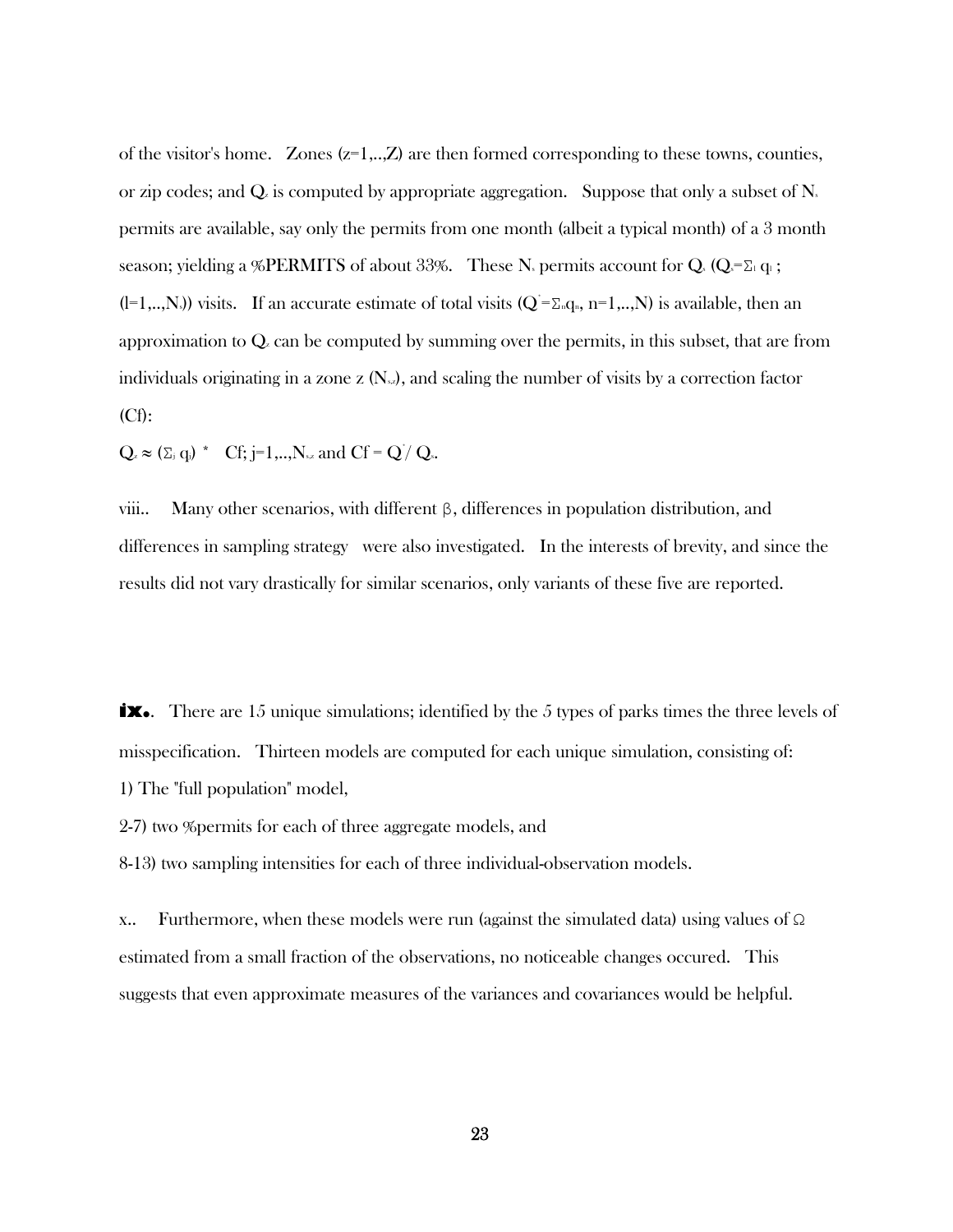of the visitor's home. Zones  $(z=1,...,Z)$  are then formed corresponding to these towns, counties, or zip codes; and  $Q_{\ell}$  is computed by appropriate aggregation. Suppose that only a subset of  $N_{\ell}$ permits are available, say only the permits from one month (albeit a typical month) of a 3 month season; yielding a %PERMITS of about 33%. These N<sub>s</sub> permits account for Q<sub>s</sub> (Q<sub>s</sub>= $\Sigma_1 q_1$ ;  $(=[-1,...,N_s])$  visits. If an accurate estimate of total visits  $(Q = \sum_n q_n, n=1,...,N)$  is available, then an approximation to  $Q_{\rm z}$  can be computed by summing over the permits, in this subset, that are from individuals originating in a zone z  $(N_{\rm s2})$ , and scaling the number of visits by a correction factor (Cf):

 $Q_z \approx (\Sigma_j q_j)^*$  Cf; j=1,..,N<sub>sz</sub> and Cf = Q/Qs.

viii.. Many other scenarios, with different β, differences in population distribution, and differences in sampling strategy were also investigated. In the interests of brevity, and since the results did not vary drastically for similar scenarios, only variants of these five are reported.

**ix.** There are 15 unique simulations; identified by the 5 types of parks times the three levels of misspecification. Thirteen models are computed for each unique simulation, consisting of: 1) The "full population" model,

2-7) two %permits for each of three aggregate models, and

8-13) two sampling intensities for each of three individual-observation models.

x.. Furthermore, when these models were run (against the simulated data) using values of Ω estimated from a small fraction of the observations, no noticeable changes occured. This suggests that even approximate measures of the variances and covariances would be helpful.